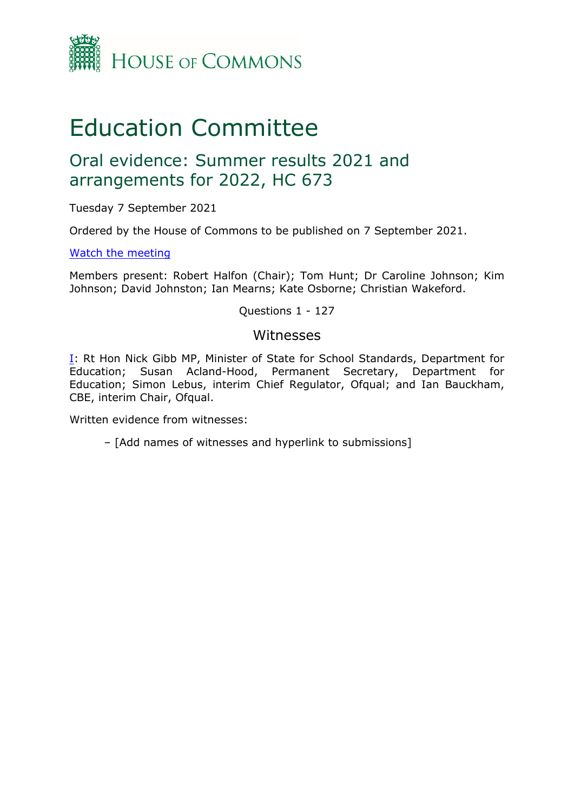

# Education Committee

## Oral evidence: Summer results 2021 and arrangements for 2022, HC 673

Tuesday 7 September 2021

Ordered by the House of Commons to be published on 7 September 2021.

[Watch](https://www.parliamentlive.tv/Event/Index/6a70e3c9-12e0-4216-b5f9-d66d91ad6825) [the](https://www.parliamentlive.tv/Event/Index/6a70e3c9-12e0-4216-b5f9-d66d91ad6825) [meeting](https://www.parliamentlive.tv/Event/Index/6a70e3c9-12e0-4216-b5f9-d66d91ad6825)

Members present: Robert Halfon (Chair); Tom Hunt; Dr Caroline Johnson; Kim Johnson; David Johnston; Ian Mearns; Kate Osborne; Christian Wakeford.

Questions 1 - 127

#### Witnesses

[I:](#page-1-0) Rt Hon Nick Gibb MP, Minister of State for School Standards, Department for Education; Susan Acland-Hood, Permanent Secretary, Department for Education; Simon Lebus, interim Chief Regulator, Ofqual; and Ian Bauckham, CBE, interim Chair, Ofqual.

Written evidence from witnesses:

– [Add names of witnesses and hyperlink to submissions]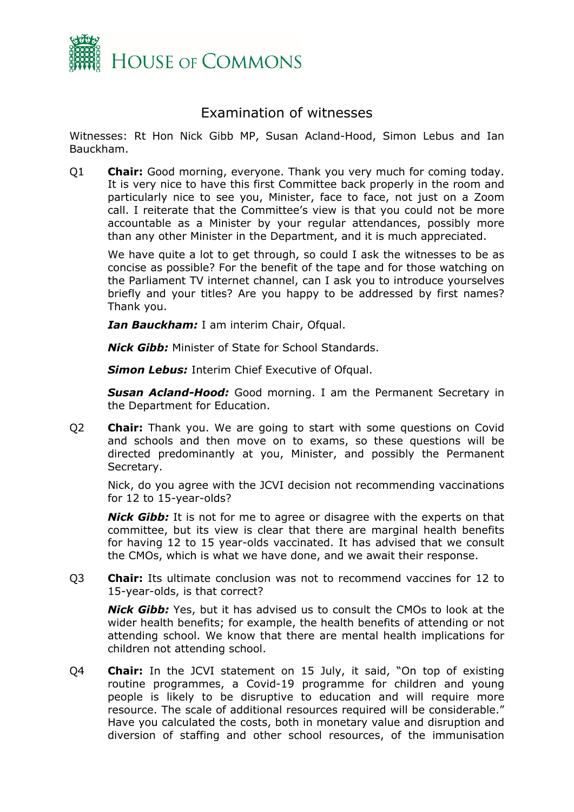

### <span id="page-1-0"></span>Examination of witnesses

Witnesses: Rt Hon Nick Gibb MP, Susan Acland-Hood, Simon Lebus and Ian Bauckham.

Q1 **Chair:** Good morning, everyone. Thank you very much for coming today. It is very nice to have this first Committee back properly in the room and particularly nice to see you, Minister, face to face, not just on a Zoom call. I reiterate that the Committee's view is that you could not be more accountable as a Minister by your regular attendances, possibly more than any other Minister in the Department, and it is much appreciated.

We have quite a lot to get through, so could I ask the witnesses to be as concise as possible? For the benefit of the tape and for those watching on the Parliament TV internet channel, can I ask you to introduce yourselves briefly and your titles? Are you happy to be addressed by first names? Thank you.

*Ian Bauckham:* I am interim Chair, Ofqual.

*Nick Gibb:* Minister of State for School Standards.

*Simon Lebus:* Interim Chief Executive of Ofqual.

*Susan Acland-Hood:* Good morning. I am the Permanent Secretary in the Department for Education.

Q2 **Chair:** Thank you. We are going to start with some questions on Covid and schools and then move on to exams, so these questions will be directed predominantly at you, Minister, and possibly the Permanent Secretary.

Nick, do you agree with the JCVI decision not recommending vaccinations for 12 to 15-year-olds?

*Nick Gibb:* It is not for me to agree or disagree with the experts on that committee, but its view is clear that there are marginal health benefits for having 12 to 15 year-olds vaccinated. It has advised that we consult the CMOs, which is what we have done, and we await their response.

Q3 **Chair:** Its ultimate conclusion was not to recommend vaccines for 12 to 15-year-olds, is that correct?

*Nick Gibb:* Yes, but it has advised us to consult the CMOs to look at the wider health benefits; for example, the health benefits of attending or not attending school. We know that there are mental health implications for children not attending school.

Q4 **Chair:** In the JCVI statement on 15 July, it said, "On top of existing routine programmes, a Covid-19 programme for children and young people is likely to be disruptive to education and will require more resource. The scale of additional resources required will be considerable." Have you calculated the costs, both in monetary value and disruption and diversion of staffing and other school resources, of the immunisation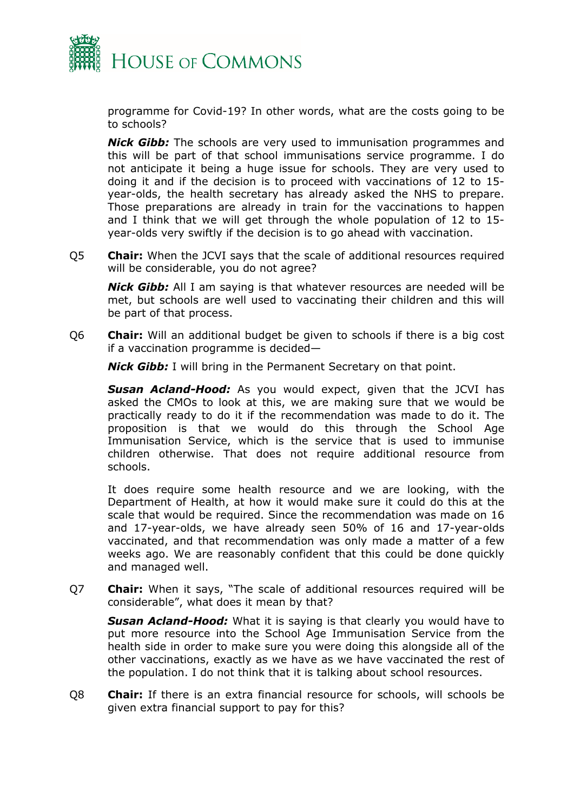

programme for Covid-19? In other words, what are the costs going to be to schools?

*Nick Gibb:* The schools are very used to immunisation programmes and this will be part of that school immunisations service programme. I do not anticipate it being a huge issue for schools. They are very used to doing it and if the decision is to proceed with vaccinations of 12 to 15 year-olds, the health secretary has already asked the NHS to prepare. Those preparations are already in train for the vaccinations to happen and I think that we will get through the whole population of 12 to 15 year-olds very swiftly if the decision is to go ahead with vaccination.

Q5 **Chair:** When the JCVI says that the scale of additional resources required will be considerable, you do not agree?

*Nick Gibb:* All I am saying is that whatever resources are needed will be met, but schools are well used to vaccinating their children and this will be part of that process.

Q6 **Chair:** Will an additional budget be given to schools if there is a big cost if a vaccination programme is decided—

*Nick Gibb:* I will bring in the Permanent Secretary on that point.

*Susan Acland-Hood:* As you would expect, given that the JCVI has asked the CMOs to look at this, we are making sure that we would be practically ready to do it if the recommendation was made to do it. The proposition is that we would do this through the School Age Immunisation Service, which is the service that is used to immunise children otherwise. That does not require additional resource from schools.

It does require some health resource and we are looking, with the Department of Health, at how it would make sure it could do this at the scale that would be required. Since the recommendation was made on 16 and 17-year-olds, we have already seen 50% of 16 and 17-year-olds vaccinated, and that recommendation was only made a matter of a few weeks ago. We are reasonably confident that this could be done quickly and managed well.

Q7 **Chair:** When it says, "The scale of additional resources required will be considerable", what does it mean by that?

*Susan Acland-Hood:* What it is saying is that clearly you would have to put more resource into the School Age Immunisation Service from the health side in order to make sure you were doing this alongside all of the other vaccinations, exactly as we have as we have vaccinated the rest of the population. I do not think that it is talking about school resources.

Q8 **Chair:** If there is an extra financial resource for schools, will schools be given extra financial support to pay for this?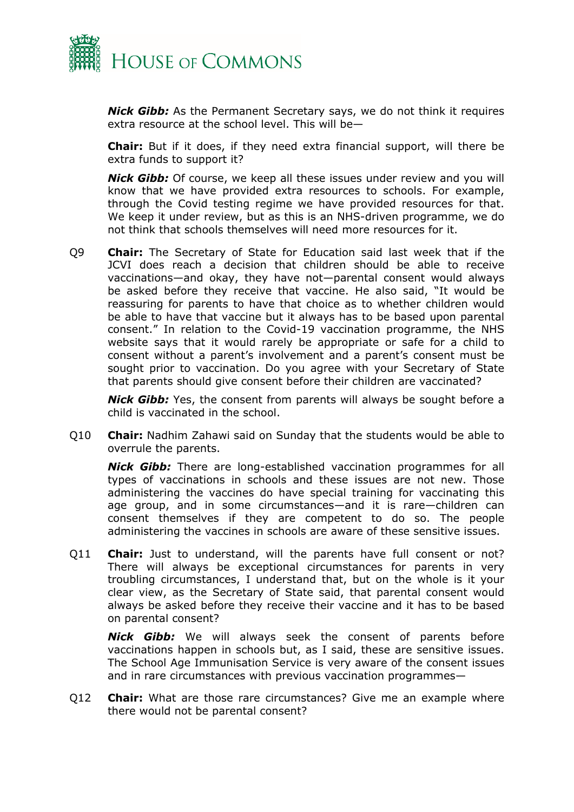

*Nick Gibb:* As the Permanent Secretary says, we do not think it requires extra resource at the school level. This will be—

**Chair:** But if it does, if they need extra financial support, will there be extra funds to support it?

*Nick Gibb:* Of course, we keep all these issues under review and you will know that we have provided extra resources to schools. For example, through the Covid testing regime we have provided resources for that. We keep it under review, but as this is an NHS-driven programme, we do not think that schools themselves will need more resources for it.

Q9 **Chair:** The Secretary of State for Education said last week that if the JCVI does reach a decision that children should be able to receive vaccinations—and okay, they have not—parental consent would always be asked before they receive that vaccine. He also said, "It would be reassuring for parents to have that choice as to whether children would be able to have that vaccine but it always has to be based upon parental consent." In relation to the Covid-19 vaccination programme, the NHS website says that it would rarely be appropriate or safe for a child to consent without a parent's involvement and a parent's consent must be sought prior to vaccination. Do you agree with your Secretary of State that parents should give consent before their children are vaccinated?

*Nick Gibb:* Yes, the consent from parents will always be sought before a child is vaccinated in the school.

Q10 **Chair:** Nadhim Zahawi said on Sunday that the students would be able to overrule the parents.

*Nick Gibb:* There are long-established vaccination programmes for all types of vaccinations in schools and these issues are not new. Those administering the vaccines do have special training for vaccinating this age group, and in some circumstances—and it is rare—children can consent themselves if they are competent to do so. The people administering the vaccines in schools are aware of these sensitive issues.

Q11 **Chair:** Just to understand, will the parents have full consent or not? There will always be exceptional circumstances for parents in very troubling circumstances, I understand that, but on the whole is it your clear view, as the Secretary of State said, that parental consent would always be asked before they receive their vaccine and it has to be based on parental consent?

*Nick Gibb:* We will always seek the consent of parents before vaccinations happen in schools but, as I said, these are sensitive issues. The School Age Immunisation Service is very aware of the consent issues and in rare circumstances with previous vaccination programmes—

Q12 **Chair:** What are those rare circumstances? Give me an example where there would not be parental consent?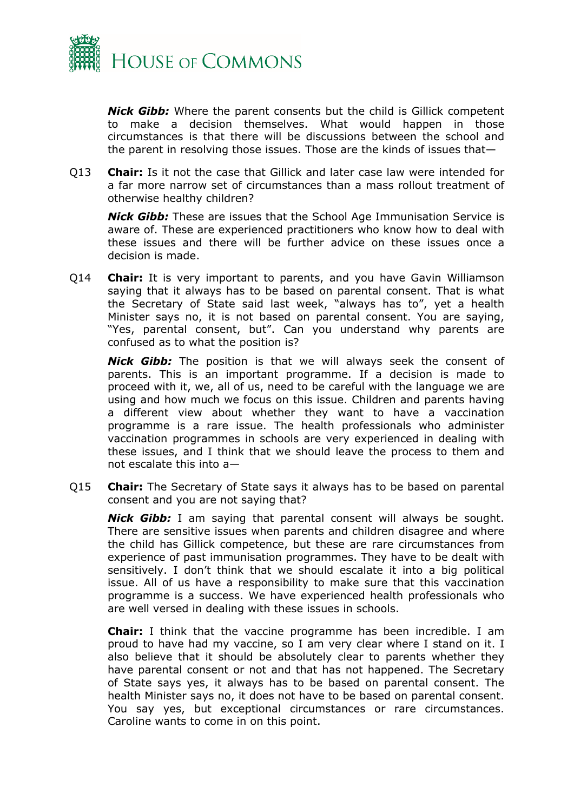

*Nick Gibb:* Where the parent consents but the child is Gillick competent to make a decision themselves. What would happen in those circumstances is that there will be discussions between the school and the parent in resolving those issues. Those are the kinds of issues that—

Q13 **Chair:** Is it not the case that Gillick and later case law were intended for a far more narrow set of circumstances than a mass rollout treatment of otherwise healthy children?

*Nick Gibb:* These are issues that the School Age Immunisation Service is aware of. These are experienced practitioners who know how to deal with these issues and there will be further advice on these issues once a decision is made.

Q14 **Chair:** It is very important to parents, and you have Gavin Williamson saying that it always has to be based on parental consent. That is what the Secretary of State said last week, "always has to", yet a health Minister says no, it is not based on parental consent. You are saying, "Yes, parental consent, but". Can you understand why parents are confused as to what the position is?

*Nick Gibb:* The position is that we will always seek the consent of parents. This is an important programme. If a decision is made to proceed with it, we, all of us, need to be careful with the language we are using and how much we focus on this issue. Children and parents having a different view about whether they want to have a vaccination programme is a rare issue. The health professionals who administer vaccination programmes in schools are very experienced in dealing with these issues, and I think that we should leave the process to them and not escalate this into a—

Q15 **Chair:** The Secretary of State says it always has to be based on parental consent and you are not saying that?

*Nick Gibb:* I am saying that parental consent will always be sought. There are sensitive issues when parents and children disagree and where the child has Gillick competence, but these are rare circumstances from experience of past immunisation programmes. They have to be dealt with sensitively. I don't think that we should escalate it into a big political issue. All of us have a responsibility to make sure that this vaccination programme is a success. We have experienced health professionals who are well versed in dealing with these issues in schools.

**Chair:** I think that the vaccine programme has been incredible. I am proud to have had my vaccine, so I am very clear where I stand on it. I also believe that it should be absolutely clear to parents whether they have parental consent or not and that has not happened. The Secretary of State says yes, it always has to be based on parental consent. The health Minister says no, it does not have to be based on parental consent. You say yes, but exceptional circumstances or rare circumstances. Caroline wants to come in on this point.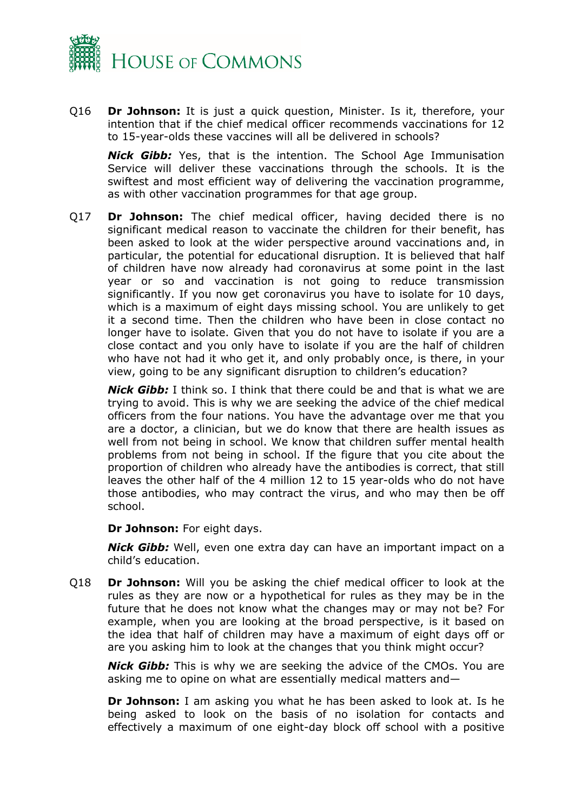

Q16 **Dr Johnson:** It is just a quick question, Minister. Is it, therefore, your intention that if the chief medical officer recommends vaccinations for 12 to 15-year-olds these vaccines will all be delivered in schools?

*Nick Gibb:* Yes, that is the intention. The School Age Immunisation Service will deliver these vaccinations through the schools. It is the swiftest and most efficient way of delivering the vaccination programme, as with other vaccination programmes for that age group.

Q17 **Dr Johnson:** The chief medical officer, having decided there is no significant medical reason to vaccinate the children for their benefit, has been asked to look at the wider perspective around vaccinations and, in particular, the potential for educational disruption. It is believed that half of children have now already had coronavirus at some point in the last year or so and vaccination is not going to reduce transmission significantly. If you now get coronavirus you have to isolate for 10 days, which is a maximum of eight days missing school. You are unlikely to get it a second time. Then the children who have been in close contact no longer have to isolate. Given that you do not have to isolate if you are a close contact and you only have to isolate if you are the half of children who have not had it who get it, and only probably once, is there, in your view, going to be any significant disruption to children's education?

*Nick Gibb:* I think so. I think that there could be and that is what we are trying to avoid. This is why we are seeking the advice of the chief medical officers from the four nations. You have the advantage over me that you are a doctor, a clinician, but we do know that there are health issues as well from not being in school. We know that children suffer mental health problems from not being in school. If the figure that you cite about the proportion of children who already have the antibodies is correct, that still leaves the other half of the 4 million 12 to 15 year-olds who do not have those antibodies, who may contract the virus, and who may then be off school.

**Dr Johnson:** For eight days.

*Nick Gibb:* Well, even one extra day can have an important impact on a child's education.

Q18 **Dr Johnson:** Will you be asking the chief medical officer to look at the rules as they are now or a hypothetical for rules as they may be in the future that he does not know what the changes may or may not be? For example, when you are looking at the broad perspective, is it based on the idea that half of children may have a maximum of eight days off or are you asking him to look at the changes that you think might occur?

*Nick Gibb:* This is why we are seeking the advice of the CMOs. You are asking me to opine on what are essentially medical matters and—

**Dr Johnson:** I am asking you what he has been asked to look at. Is he being asked to look on the basis of no isolation for contacts and effectively a maximum of one eight-day block off school with a positive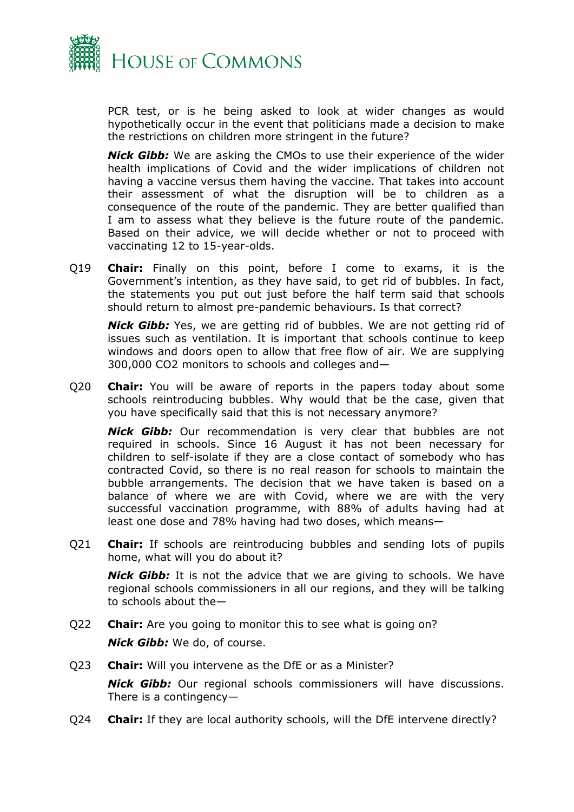

PCR test, or is he being asked to look at wider changes as would hypothetically occur in the event that politicians made a decision to make the restrictions on children more stringent in the future?

*Nick Gibb:* We are asking the CMOs to use their experience of the wider health implications of Covid and the wider implications of children not having a vaccine versus them having the vaccine. That takes into account their assessment of what the disruption will be to children as a consequence of the route of the pandemic. They are better qualified than I am to assess what they believe is the future route of the pandemic. Based on their advice, we will decide whether or not to proceed with vaccinating 12 to 15-year-olds.

Q19 **Chair:** Finally on this point, before I come to exams, it is the Government's intention, as they have said, to get rid of bubbles. In fact, the statements you put out just before the half term said that schools should return to almost pre-pandemic behaviours. Is that correct?

*Nick Gibb:* Yes, we are getting rid of bubbles. We are not getting rid of issues such as ventilation. It is important that schools continue to keep windows and doors open to allow that free flow of air. We are supplying 300,000 CO2 monitors to schools and colleges and—

Q20 **Chair:** You will be aware of reports in the papers today about some schools reintroducing bubbles. Why would that be the case, given that you have specifically said that this is not necessary anymore?

*Nick Gibb:* Our recommendation is very clear that bubbles are not required in schools. Since 16 August it has not been necessary for children to self-isolate if they are a close contact of somebody who has contracted Covid, so there is no real reason for schools to maintain the bubble arrangements. The decision that we have taken is based on a balance of where we are with Covid, where we are with the very successful vaccination programme, with 88% of adults having had at least one dose and 78% having had two doses, which means—

Q21 **Chair:** If schools are reintroducing bubbles and sending lots of pupils home, what will you do about it?

*Nick Gibb:* It is not the advice that we are giving to schools. We have regional schools commissioners in all our regions, and they will be talking to schools about the—

- Q22 **Chair:** Are you going to monitor this to see what is going on? *Nick Gibb:* We do, of course.
- Q23 **Chair:** Will you intervene as the DfE or as a Minister? *Nick Gibb:* Our regional schools commissioners will have discussions. There is a contingency—
- Q24 **Chair:** If they are local authority schools, will the DfE intervene directly?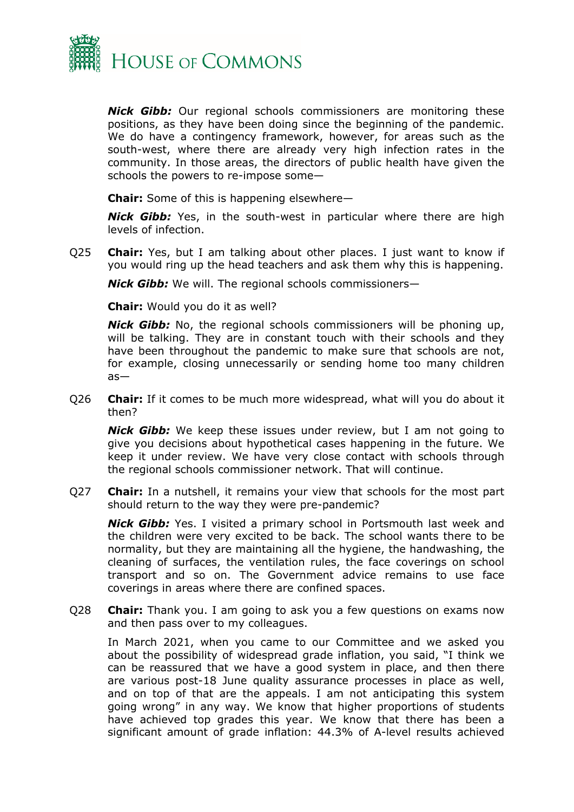

*Nick Gibb:* Our regional schools commissioners are monitoring these positions, as they have been doing since the beginning of the pandemic. We do have a contingency framework, however, for areas such as the south-west, where there are already very high infection rates in the community. In those areas, the directors of public health have given the schools the powers to re-impose some—

**Chair:** Some of this is happening elsewhere—

*Nick Gibb:* Yes, in the south-west in particular where there are high levels of infection.

Q25 **Chair:** Yes, but I am talking about other places. I just want to know if you would ring up the head teachers and ask them why this is happening.

*Nick Gibb:* We will. The regional schools commissioners—

**Chair:** Would you do it as well?

*Nick Gibb:* No, the regional schools commissioners will be phoning up, will be talking. They are in constant touch with their schools and they have been throughout the pandemic to make sure that schools are not, for example, closing unnecessarily or sending home too many children as—

Q26 **Chair:** If it comes to be much more widespread, what will you do about it then?

*Nick Gibb:* We keep these issues under review, but I am not going to give you decisions about hypothetical cases happening in the future. We keep it under review. We have very close contact with schools through the regional schools commissioner network. That will continue.

Q27 **Chair:** In a nutshell, it remains your view that schools for the most part should return to the way they were pre-pandemic?

*Nick Gibb:* Yes. I visited a primary school in Portsmouth last week and the children were very excited to be back. The school wants there to be normality, but they are maintaining all the hygiene, the handwashing, the cleaning of surfaces, the ventilation rules, the face coverings on school transport and so on. The Government advice remains to use face coverings in areas where there are confined spaces.

Q28 **Chair:** Thank you. I am going to ask you a few questions on exams now and then pass over to my colleagues.

In March 2021, when you came to our Committee and we asked you about the possibility of widespread grade inflation, you said, "I think we can be reassured that we have a good system in place, and then there are various post-18 June quality assurance processes in place as well, and on top of that are the appeals. I am not anticipating this system going wrong" in any way. We know that higher proportions of students have achieved top grades this year. We know that there has been a significant amount of grade inflation: 44.3% of A-level results achieved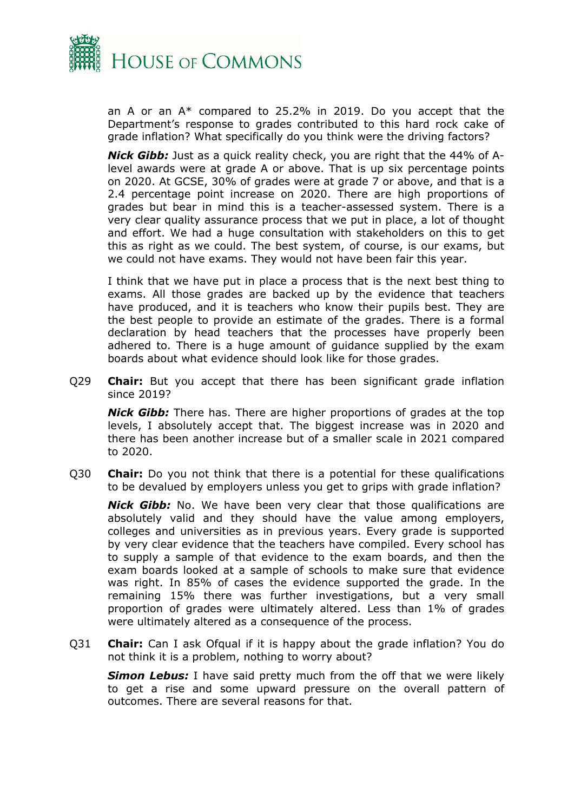

an A or an A\* compared to 25.2% in 2019. Do you accept that the Department's response to grades contributed to this hard rock cake of grade inflation? What specifically do you think were the driving factors?

*Nick Gibb:* Just as a quick reality check, you are right that the 44% of Alevel awards were at grade A or above. That is up six percentage points on 2020. At GCSE, 30% of grades were at grade 7 or above, and that is a 2.4 percentage point increase on 2020. There are high proportions of grades but bear in mind this is a teacher-assessed system. There is a very clear quality assurance process that we put in place, a lot of thought and effort. We had a huge consultation with stakeholders on this to get this as right as we could. The best system, of course, is our exams, but we could not have exams. They would not have been fair this year.

I think that we have put in place a process that is the next best thing to exams. All those grades are backed up by the evidence that teachers have produced, and it is teachers who know their pupils best. They are the best people to provide an estimate of the grades. There is a formal declaration by head teachers that the processes have properly been adhered to. There is a huge amount of guidance supplied by the exam boards about what evidence should look like for those grades.

Q29 **Chair:** But you accept that there has been significant grade inflation since 2019?

*Nick Gibb:* There has. There are higher proportions of grades at the top levels, I absolutely accept that. The biggest increase was in 2020 and there has been another increase but of a smaller scale in 2021 compared to 2020.

Q30 **Chair:** Do you not think that there is a potential for these qualifications to be devalued by employers unless you get to grips with grade inflation?

*Nick Gibb:* No. We have been very clear that those qualifications are absolutely valid and they should have the value among employers, colleges and universities as in previous years. Every grade is supported by very clear evidence that the teachers have compiled. Every school has to supply a sample of that evidence to the exam boards, and then the exam boards looked at a sample of schools to make sure that evidence was right. In 85% of cases the evidence supported the grade. In the remaining 15% there was further investigations, but a very small proportion of grades were ultimately altered. Less than 1% of grades were ultimately altered as a consequence of the process.

Q31 **Chair:** Can I ask Ofqual if it is happy about the grade inflation? You do not think it is a problem, nothing to worry about?

*Simon Lebus:* I have said pretty much from the off that we were likely to get a rise and some upward pressure on the overall pattern of outcomes. There are several reasons for that.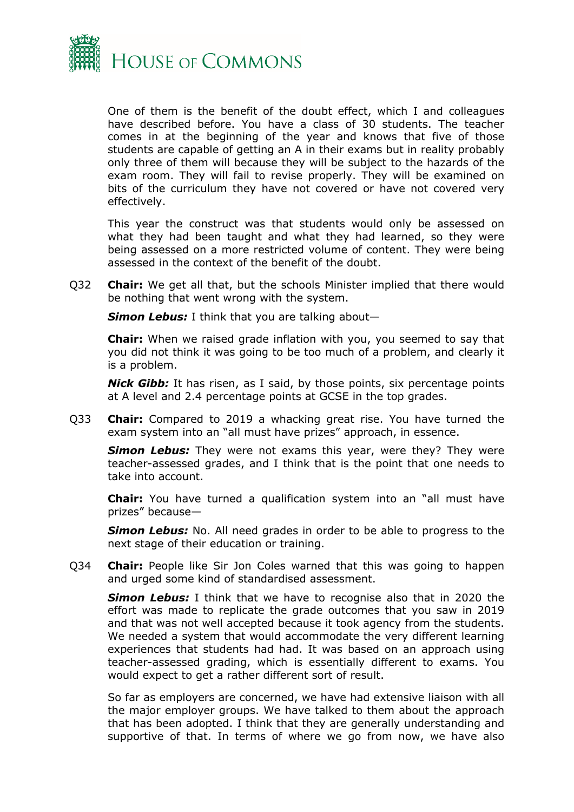

One of them is the benefit of the doubt effect, which I and colleagues have described before. You have a class of 30 students. The teacher comes in at the beginning of the year and knows that five of those students are capable of getting an A in their exams but in reality probably only three of them will because they will be subject to the hazards of the exam room. They will fail to revise properly. They will be examined on bits of the curriculum they have not covered or have not covered very effectively.

This year the construct was that students would only be assessed on what they had been taught and what they had learned, so they were being assessed on a more restricted volume of content. They were being assessed in the context of the benefit of the doubt.

Q32 **Chair:** We get all that, but the schools Minister implied that there would be nothing that went wrong with the system.

*Simon Lebus:* I think that you are talking about—

**Chair:** When we raised grade inflation with you, you seemed to say that you did not think it was going to be too much of a problem, and clearly it is a problem.

*Nick Gibb:* It has risen, as I said, by those points, six percentage points at A level and 2.4 percentage points at GCSE in the top grades.

Q33 **Chair:** Compared to 2019 a whacking great rise. You have turned the exam system into an "all must have prizes" approach, in essence.

*Simon Lebus:* They were not exams this year, were they? They were teacher-assessed grades, and I think that is the point that one needs to take into account.

**Chair:** You have turned a qualification system into an "all must have prizes" because—

**Simon Lebus:** No. All need grades in order to be able to progress to the next stage of their education or training.

Q34 **Chair:** People like Sir Jon Coles warned that this was going to happen and urged some kind of standardised assessment.

*Simon Lebus:* I think that we have to recognise also that in 2020 the effort was made to replicate the grade outcomes that you saw in 2019 and that was not well accepted because it took agency from the students. We needed a system that would accommodate the very different learning experiences that students had had. It was based on an approach using teacher-assessed grading, which is essentially different to exams. You would expect to get a rather different sort of result.

So far as employers are concerned, we have had extensive liaison with all the major employer groups. We have talked to them about the approach that has been adopted. I think that they are generally understanding and supportive of that. In terms of where we go from now, we have also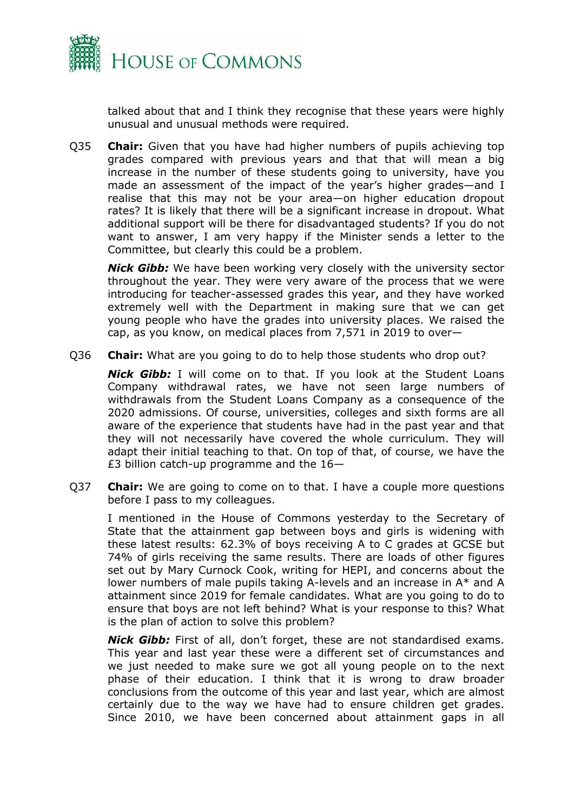

talked about that and I think they recognise that these years were highly unusual and unusual methods were required.

Q35 **Chair:** Given that you have had higher numbers of pupils achieving top grades compared with previous years and that that will mean a big increase in the number of these students going to university, have you made an assessment of the impact of the year's higher grades—and I realise that this may not be your area—on higher education dropout rates? It is likely that there will be a significant increase in dropout. What additional support will be there for disadvantaged students? If you do not want to answer, I am very happy if the Minister sends a letter to the Committee, but clearly this could be a problem.

*Nick Gibb:* We have been working very closely with the university sector throughout the year. They were very aware of the process that we were introducing for teacher-assessed grades this year, and they have worked extremely well with the Department in making sure that we can get young people who have the grades into university places. We raised the cap, as you know, on medical places from 7,571 in 2019 to over—

Q36 **Chair:** What are you going to do to help those students who drop out?

*Nick Gibb:* I will come on to that. If you look at the Student Loans Company withdrawal rates, we have not seen large numbers of withdrawals from the Student Loans Company as a consequence of the 2020 admissions. Of course, universities, colleges and sixth forms are all aware of the experience that students have had in the past year and that they will not necessarily have covered the whole curriculum. They will adapt their initial teaching to that. On top of that, of course, we have the £3 billion catch-up programme and the 16—

Q37 **Chair:** We are going to come on to that. I have a couple more questions before I pass to my colleagues.

I mentioned in the House of Commons yesterday to the Secretary of State that the attainment gap between boys and girls is widening with these latest results: 62.3% of boys receiving A to C grades at GCSE but 74% of girls receiving the same results. There are loads of other figures set out by Mary Curnock Cook, writing for HEPI, and concerns about the lower numbers of male pupils taking A-levels and an increase in A\* and A attainment since 2019 for female candidates. What are you going to do to ensure that boys are not left behind? What is your response to this? What is the plan of action to solve this problem?

*Nick Gibb:* First of all, don't forget, these are not standardised exams. This year and last year these were a different set of circumstances and we just needed to make sure we got all young people on to the next phase of their education. I think that it is wrong to draw broader conclusions from the outcome of this year and last year, which are almost certainly due to the way we have had to ensure children get grades. Since 2010, we have been concerned about attainment gaps in all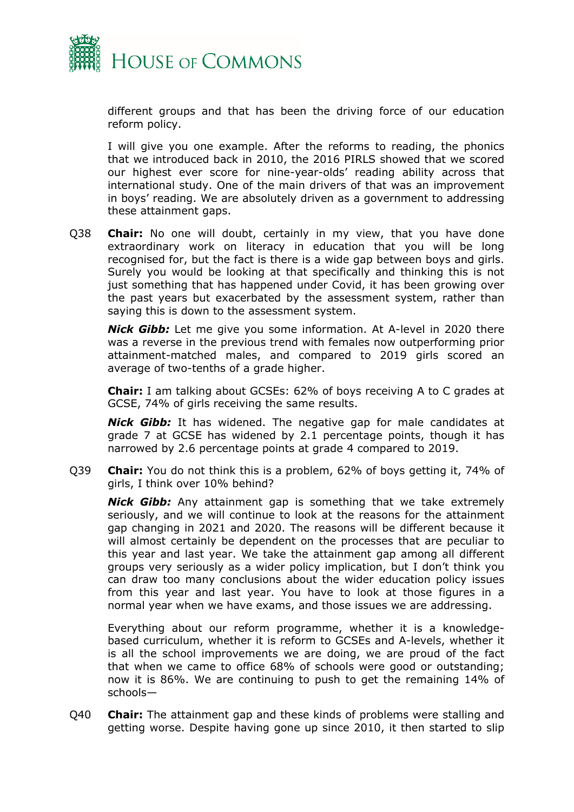

different groups and that has been the driving force of our education reform policy.

I will give you one example. After the reforms to reading, the phonics that we introduced back in 2010, the 2016 PIRLS showed that we scored our highest ever score for nine-year-olds' reading ability across that international study. One of the main drivers of that was an improvement in boys' reading. We are absolutely driven as a government to addressing these attainment gaps.

Q38 **Chair:** No one will doubt, certainly in my view, that you have done extraordinary work on literacy in education that you will be long recognised for, but the fact is there is a wide gap between boys and girls. Surely you would be looking at that specifically and thinking this is not just something that has happened under Covid, it has been growing over the past years but exacerbated by the assessment system, rather than saying this is down to the assessment system.

*Nick Gibb:* Let me give you some information. At A-level in 2020 there was a reverse in the previous trend with females now outperforming prior attainment-matched males, and compared to 2019 girls scored an average of two-tenths of a grade higher.

**Chair:** I am talking about GCSEs: 62% of boys receiving A to C grades at GCSE, 74% of girls receiving the same results.

*Nick Gibb:* It has widened. The negative gap for male candidates at grade 7 at GCSE has widened by 2.1 percentage points, though it has narrowed by 2.6 percentage points at grade 4 compared to 2019.

Q39 **Chair:** You do not think this is a problem, 62% of boys getting it, 74% of girls, I think over 10% behind?

*Nick Gibb:* Any attainment gap is something that we take extremely seriously, and we will continue to look at the reasons for the attainment gap changing in 2021 and 2020. The reasons will be different because it will almost certainly be dependent on the processes that are peculiar to this year and last year. We take the attainment gap among all different groups very seriously as a wider policy implication, but I don't think you can draw too many conclusions about the wider education policy issues from this year and last year. You have to look at those figures in a normal year when we have exams, and those issues we are addressing.

Everything about our reform programme, whether it is a knowledgebased curriculum, whether it is reform to GCSEs and A-levels, whether it is all the school improvements we are doing, we are proud of the fact that when we came to office 68% of schools were good or outstanding; now it is 86%. We are continuing to push to get the remaining 14% of schools—

Q40 **Chair:** The attainment gap and these kinds of problems were stalling and getting worse. Despite having gone up since 2010, it then started to slip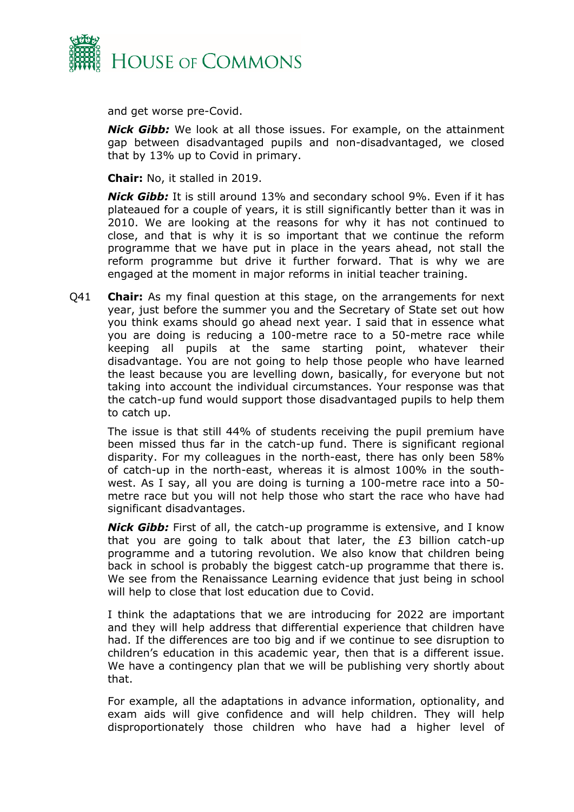

and get worse pre-Covid.

*Nick Gibb:* We look at all those issues. For example, on the attainment gap between disadvantaged pupils and non-disadvantaged, we closed that by 13% up to Covid in primary.

**Chair:** No, it stalled in 2019.

*Nick Gibb:* It is still around 13% and secondary school 9%. Even if it has plateaued for a couple of years, it is still significantly better than it was in 2010. We are looking at the reasons for why it has not continued to close, and that is why it is so important that we continue the reform programme that we have put in place in the years ahead, not stall the reform programme but drive it further forward. That is why we are engaged at the moment in major reforms in initial teacher training.

Q41 **Chair:** As my final question at this stage, on the arrangements for next year, just before the summer you and the Secretary of State set out how you think exams should go ahead next year. I said that in essence what you are doing is reducing a 100-metre race to a 50-metre race while keeping all pupils at the same starting point, whatever their disadvantage. You are not going to help those people who have learned the least because you are levelling down, basically, for everyone but not taking into account the individual circumstances. Your response was that the catch-up fund would support those disadvantaged pupils to help them to catch up.

The issue is that still 44% of students receiving the pupil premium have been missed thus far in the catch-up fund. There is significant regional disparity. For my colleagues in the north-east, there has only been 58% of catch-up in the north-east, whereas it is almost 100% in the southwest. As I say, all you are doing is turning a 100-metre race into a 50 metre race but you will not help those who start the race who have had significant disadvantages.

*Nick Gibb:* First of all, the catch-up programme is extensive, and I know that you are going to talk about that later, the £3 billion catch-up programme and a tutoring revolution. We also know that children being back in school is probably the biggest catch-up programme that there is. We see from the Renaissance Learning evidence that just being in school will help to close that lost education due to Covid.

I think the adaptations that we are introducing for 2022 are important and they will help address that differential experience that children have had. If the differences are too big and if we continue to see disruption to children's education in this academic year, then that is a different issue. We have a contingency plan that we will be publishing very shortly about that.

For example, all the adaptations in advance information, optionality, and exam aids will give confidence and will help children. They will help disproportionately those children who have had a higher level of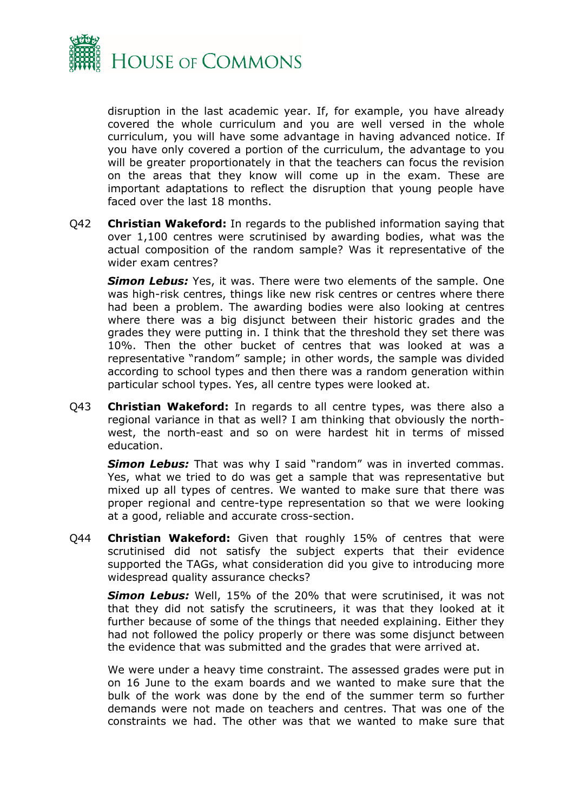

disruption in the last academic year. If, for example, you have already covered the whole curriculum and you are well versed in the whole curriculum, you will have some advantage in having advanced notice. If you have only covered a portion of the curriculum, the advantage to you will be greater proportionately in that the teachers can focus the revision on the areas that they know will come up in the exam. These are important adaptations to reflect the disruption that young people have faced over the last 18 months.

Q42 **Christian Wakeford:** In regards to the published information saying that over 1,100 centres were scrutinised by awarding bodies, what was the actual composition of the random sample? Was it representative of the wider exam centres?

*Simon Lebus:* Yes, it was. There were two elements of the sample. One was high-risk centres, things like new risk centres or centres where there had been a problem. The awarding bodies were also looking at centres where there was a big disjunct between their historic grades and the grades they were putting in. I think that the threshold they set there was 10%. Then the other bucket of centres that was looked at was a representative "random" sample; in other words, the sample was divided according to school types and then there was a random generation within particular school types. Yes, all centre types were looked at.

Q43 **Christian Wakeford:** In regards to all centre types, was there also a regional variance in that as well? I am thinking that obviously the northwest, the north-east and so on were hardest hit in terms of missed education.

**Simon Lebus:** That was why I said "random" was in inverted commas. Yes, what we tried to do was get a sample that was representative but mixed up all types of centres. We wanted to make sure that there was proper regional and centre-type representation so that we were looking at a good, reliable and accurate cross-section.

Q44 **Christian Wakeford:** Given that roughly 15% of centres that were scrutinised did not satisfy the subject experts that their evidence supported the TAGs, what consideration did you give to introducing more widespread quality assurance checks?

*Simon Lebus:* Well, 15% of the 20% that were scrutinised, it was not that they did not satisfy the scrutineers, it was that they looked at it further because of some of the things that needed explaining. Either they had not followed the policy properly or there was some disjunct between the evidence that was submitted and the grades that were arrived at.

We were under a heavy time constraint. The assessed grades were put in on 16 June to the exam boards and we wanted to make sure that the bulk of the work was done by the end of the summer term so further demands were not made on teachers and centres. That was one of the constraints we had. The other was that we wanted to make sure that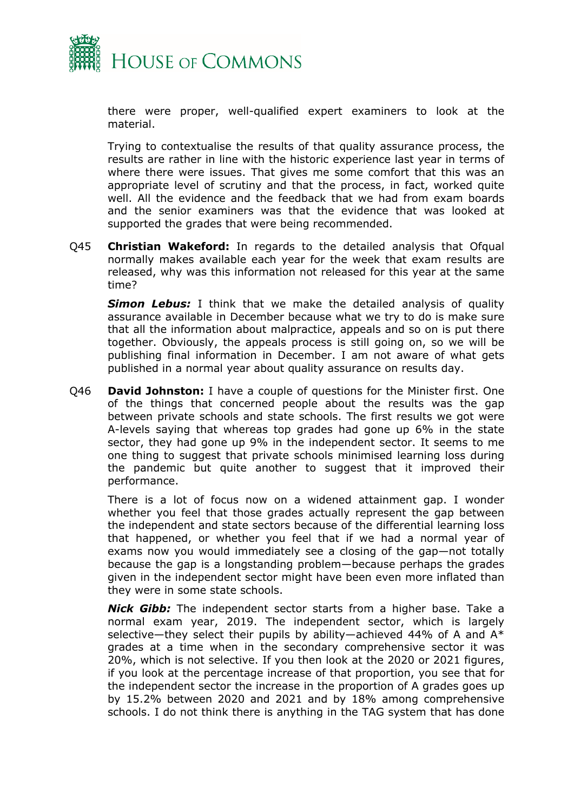

there were proper, well-qualified expert examiners to look at the material.

Trying to contextualise the results of that quality assurance process, the results are rather in line with the historic experience last year in terms of where there were issues. That gives me some comfort that this was an appropriate level of scrutiny and that the process, in fact, worked quite well. All the evidence and the feedback that we had from exam boards and the senior examiners was that the evidence that was looked at supported the grades that were being recommended.

Q45 **Christian Wakeford:** In regards to the detailed analysis that Ofqual normally makes available each year for the week that exam results are released, why was this information not released for this year at the same time?

*Simon Lebus:* I think that we make the detailed analysis of quality assurance available in December because what we try to do is make sure that all the information about malpractice, appeals and so on is put there together. Obviously, the appeals process is still going on, so we will be publishing final information in December. I am not aware of what gets published in a normal year about quality assurance on results day.

Q46 **David Johnston:** I have a couple of questions for the Minister first. One of the things that concerned people about the results was the gap between private schools and state schools. The first results we got were A-levels saying that whereas top grades had gone up 6% in the state sector, they had gone up 9% in the independent sector. It seems to me one thing to suggest that private schools minimised learning loss during the pandemic but quite another to suggest that it improved their performance.

There is a lot of focus now on a widened attainment gap. I wonder whether you feel that those grades actually represent the gap between the independent and state sectors because of the differential learning loss that happened, or whether you feel that if we had a normal year of exams now you would immediately see a closing of the gap—not totally because the gap is a longstanding problem—because perhaps the grades given in the independent sector might have been even more inflated than they were in some state schools.

*Nick Gibb:* The independent sector starts from a higher base. Take a normal exam year, 2019. The independent sector, which is largely selective—they select their pupils by ability—achieved 44% of A and A\* grades at a time when in the secondary comprehensive sector it was 20%, which is not selective. If you then look at the 2020 or 2021 figures, if you look at the percentage increase of that proportion, you see that for the independent sector the increase in the proportion of A grades goes up by 15.2% between 2020 and 2021 and by 18% among comprehensive schools. I do not think there is anything in the TAG system that has done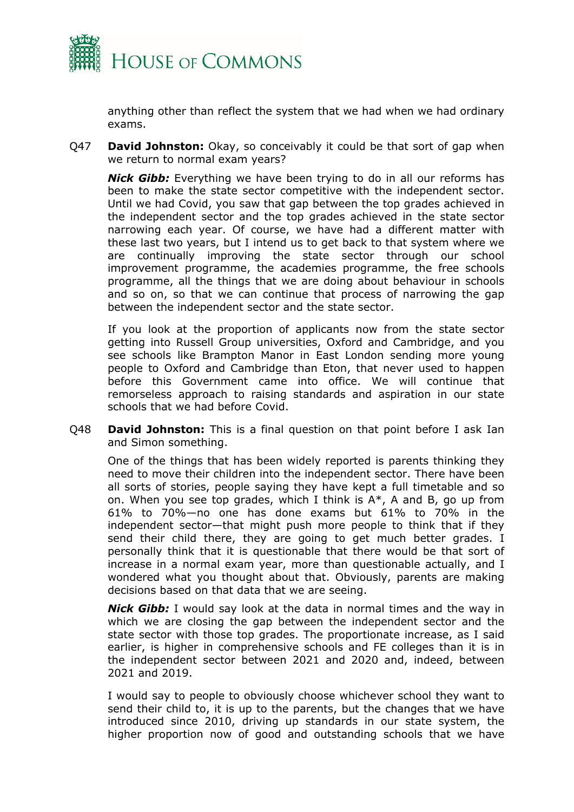

anything other than reflect the system that we had when we had ordinary exams.

Q47 **David Johnston:** Okay, so conceivably it could be that sort of gap when we return to normal exam years?

*Nick Gibb:* Everything we have been trying to do in all our reforms has been to make the state sector competitive with the independent sector. Until we had Covid, you saw that gap between the top grades achieved in the independent sector and the top grades achieved in the state sector narrowing each year. Of course, we have had a different matter with these last two years, but I intend us to get back to that system where we are continually improving the state sector through our school improvement programme, the academies programme, the free schools programme, all the things that we are doing about behaviour in schools and so on, so that we can continue that process of narrowing the gap between the independent sector and the state sector.

If you look at the proportion of applicants now from the state sector getting into Russell Group universities, Oxford and Cambridge, and you see schools like Brampton Manor in East London sending more young people to Oxford and Cambridge than Eton, that never used to happen before this Government came into office. We will continue that remorseless approach to raising standards and aspiration in our state schools that we had before Covid.

Q48 **David Johnston:** This is a final question on that point before I ask Ian and Simon something.

One of the things that has been widely reported is parents thinking they need to move their children into the independent sector. There have been all sorts of stories, people saying they have kept a full timetable and so on. When you see top grades, which I think is A\*, A and B, go up from 61% to 70%—no one has done exams but 61% to 70% in the independent sector—that might push more people to think that if they send their child there, they are going to get much better grades. I personally think that it is questionable that there would be that sort of increase in a normal exam year, more than questionable actually, and I wondered what you thought about that. Obviously, parents are making decisions based on that data that we are seeing.

*Nick Gibb:* I would say look at the data in normal times and the way in which we are closing the gap between the independent sector and the state sector with those top grades. The proportionate increase, as I said earlier, is higher in comprehensive schools and FE colleges than it is in the independent sector between 2021 and 2020 and, indeed, between 2021 and 2019.

I would say to people to obviously choose whichever school they want to send their child to, it is up to the parents, but the changes that we have introduced since 2010, driving up standards in our state system, the higher proportion now of good and outstanding schools that we have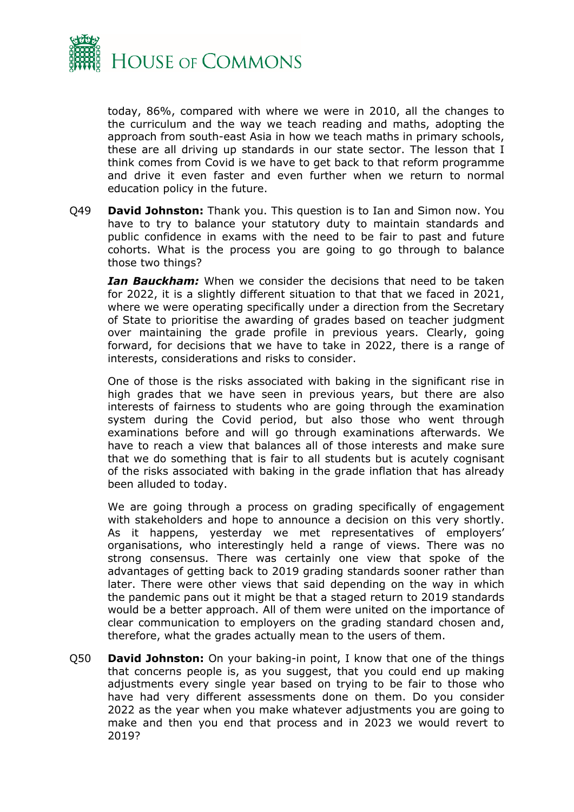

today, 86%, compared with where we were in 2010, all the changes to the curriculum and the way we teach reading and maths, adopting the approach from south-east Asia in how we teach maths in primary schools, these are all driving up standards in our state sector. The lesson that I think comes from Covid is we have to get back to that reform programme and drive it even faster and even further when we return to normal education policy in the future.

Q49 **David Johnston:** Thank you. This question is to Ian and Simon now. You have to try to balance your statutory duty to maintain standards and public confidence in exams with the need to be fair to past and future cohorts. What is the process you are going to go through to balance those two things?

*Ian Bauckham:* When we consider the decisions that need to be taken for 2022, it is a slightly different situation to that that we faced in 2021, where we were operating specifically under a direction from the Secretary of State to prioritise the awarding of grades based on teacher judgment over maintaining the grade profile in previous years. Clearly, going forward, for decisions that we have to take in 2022, there is a range of interests, considerations and risks to consider.

One of those is the risks associated with baking in the significant rise in high grades that we have seen in previous years, but there are also interests of fairness to students who are going through the examination system during the Covid period, but also those who went through examinations before and will go through examinations afterwards. We have to reach a view that balances all of those interests and make sure that we do something that is fair to all students but is acutely cognisant of the risks associated with baking in the grade inflation that has already been alluded to today.

We are going through a process on grading specifically of engagement with stakeholders and hope to announce a decision on this very shortly. As it happens, yesterday we met representatives of employers' organisations, who interestingly held a range of views. There was no strong consensus. There was certainly one view that spoke of the advantages of getting back to 2019 grading standards sooner rather than later. There were other views that said depending on the way in which the pandemic pans out it might be that a staged return to 2019 standards would be a better approach. All of them were united on the importance of clear communication to employers on the grading standard chosen and, therefore, what the grades actually mean to the users of them.

Q50 **David Johnston:** On your baking-in point, I know that one of the things that concerns people is, as you suggest, that you could end up making adjustments every single year based on trying to be fair to those who have had very different assessments done on them. Do you consider 2022 as the year when you make whatever adjustments you are going to make and then you end that process and in 2023 we would revert to 2019?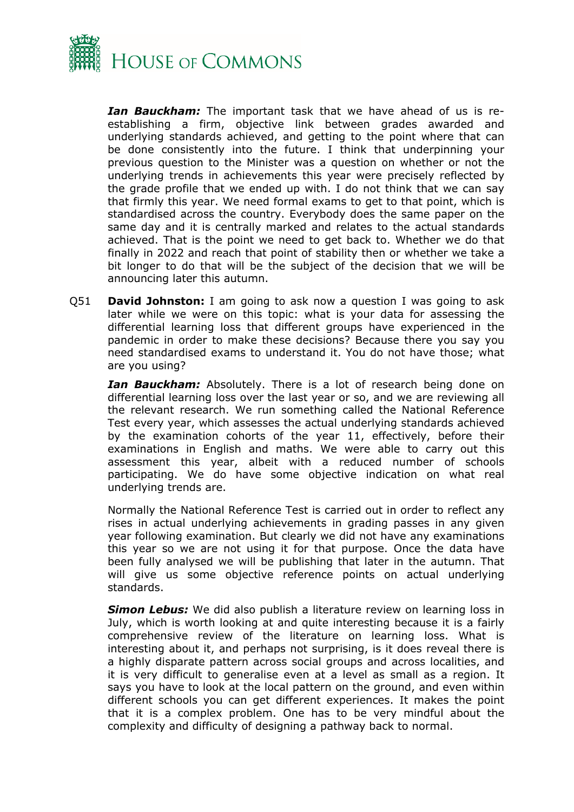

*Ian Bauckham:* The important task that we have ahead of us is reestablishing a firm, objective link between grades awarded and underlying standards achieved, and getting to the point where that can be done consistently into the future. I think that underpinning your previous question to the Minister was a question on whether or not the underlying trends in achievements this year were precisely reflected by the grade profile that we ended up with. I do not think that we can say that firmly this year. We need formal exams to get to that point, which is standardised across the country. Everybody does the same paper on the same day and it is centrally marked and relates to the actual standards achieved. That is the point we need to get back to. Whether we do that finally in 2022 and reach that point of stability then or whether we take a bit longer to do that will be the subject of the decision that we will be announcing later this autumn.

Q51 **David Johnston:** I am going to ask now a question I was going to ask later while we were on this topic: what is your data for assessing the differential learning loss that different groups have experienced in the pandemic in order to make these decisions? Because there you say you need standardised exams to understand it. You do not have those; what are you using?

*Ian Bauckham:* Absolutely. There is a lot of research being done on differential learning loss over the last year or so, and we are reviewing all the relevant research. We run something called the National Reference Test every year, which assesses the actual underlying standards achieved by the examination cohorts of the year 11, effectively, before their examinations in English and maths. We were able to carry out this assessment this year, albeit with a reduced number of schools participating. We do have some objective indication on what real underlying trends are.

Normally the National Reference Test is carried out in order to reflect any rises in actual underlying achievements in grading passes in any given year following examination. But clearly we did not have any examinations this year so we are not using it for that purpose. Once the data have been fully analysed we will be publishing that later in the autumn. That will give us some objective reference points on actual underlying standards.

*Simon Lebus:* We did also publish a literature review on learning loss in July, which is worth looking at and quite interesting because it is a fairly comprehensive review of the literature on learning loss. What is interesting about it, and perhaps not surprising, is it does reveal there is a highly disparate pattern across social groups and across localities, and it is very difficult to generalise even at a level as small as a region. It says you have to look at the local pattern on the ground, and even within different schools you can get different experiences. It makes the point that it is a complex problem. One has to be very mindful about the complexity and difficulty of designing a pathway back to normal.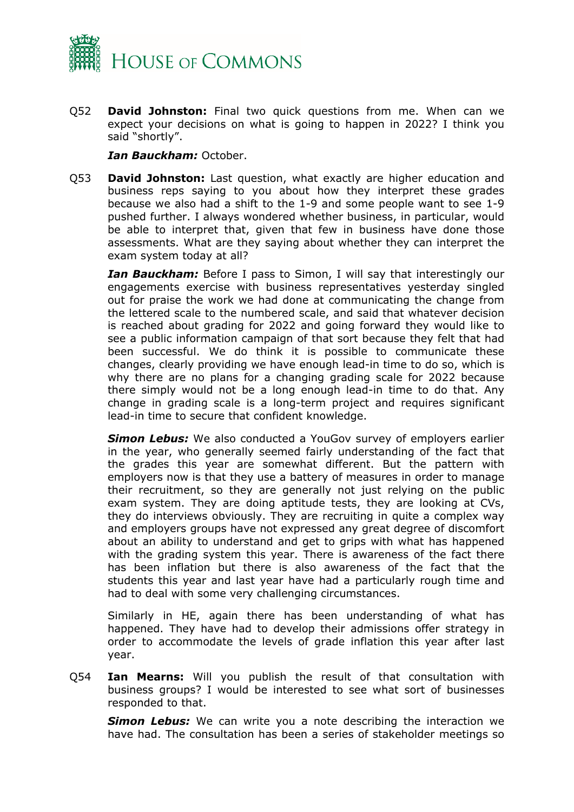

Q52 **David Johnston:** Final two quick questions from me. When can we expect your decisions on what is going to happen in 2022? I think you said "shortly".

#### *Ian Bauckham:* October.

Q53 **David Johnston:** Last question, what exactly are higher education and business reps saying to you about how they interpret these grades because we also had a shift to the 1-9 and some people want to see 1-9 pushed further. I always wondered whether business, in particular, would be able to interpret that, given that few in business have done those assessments. What are they saying about whether they can interpret the exam system today at all?

*Ian Bauckham:* Before I pass to Simon, I will say that interestingly our engagements exercise with business representatives yesterday singled out for praise the work we had done at communicating the change from the lettered scale to the numbered scale, and said that whatever decision is reached about grading for 2022 and going forward they would like to see a public information campaign of that sort because they felt that had been successful. We do think it is possible to communicate these changes, clearly providing we have enough lead-in time to do so, which is why there are no plans for a changing grading scale for 2022 because there simply would not be a long enough lead-in time to do that. Any change in grading scale is a long-term project and requires significant lead-in time to secure that confident knowledge.

*Simon Lebus:* We also conducted a YouGov survey of employers earlier in the year, who generally seemed fairly understanding of the fact that the grades this year are somewhat different. But the pattern with employers now is that they use a battery of measures in order to manage their recruitment, so they are generally not just relying on the public exam system. They are doing aptitude tests, they are looking at CVs, they do interviews obviously. They are recruiting in quite a complex way and employers groups have not expressed any great degree of discomfort about an ability to understand and get to grips with what has happened with the grading system this year. There is awareness of the fact there has been inflation but there is also awareness of the fact that the students this year and last year have had a particularly rough time and had to deal with some very challenging circumstances.

Similarly in HE, again there has been understanding of what has happened. They have had to develop their admissions offer strategy in order to accommodate the levels of grade inflation this year after last year.

Q54 **Ian Mearns:** Will you publish the result of that consultation with business groups? I would be interested to see what sort of businesses responded to that.

**Simon Lebus:** We can write you a note describing the interaction we have had. The consultation has been a series of stakeholder meetings so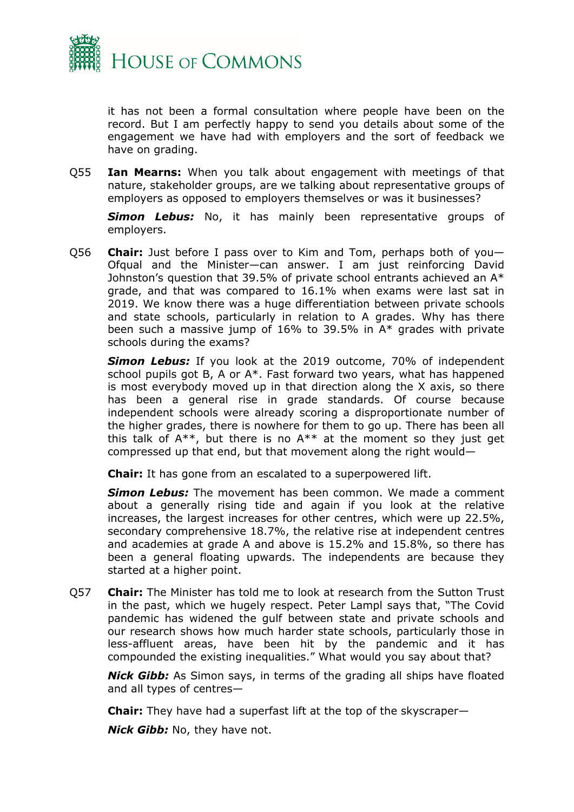

it has not been a formal consultation where people have been on the record. But I am perfectly happy to send you details about some of the engagement we have had with employers and the sort of feedback we have on grading.

Q55 **Ian Mearns:** When you talk about engagement with meetings of that nature, stakeholder groups, are we talking about representative groups of employers as opposed to employers themselves or was it businesses?

*Simon Lebus:* No, it has mainly been representative groups of employers.

Q56 **Chair:** Just before I pass over to Kim and Tom, perhaps both of you— Ofqual and the Minister—can answer. I am just reinforcing David Johnston's question that 39.5% of private school entrants achieved an A\* grade, and that was compared to 16.1% when exams were last sat in 2019. We know there was a huge differentiation between private schools and state schools, particularly in relation to A grades. Why has there been such a massive jump of 16% to 39.5% in A\* grades with private schools during the exams?

*Simon Lebus:* If you look at the 2019 outcome, 70% of independent school pupils got B, A or A\*. Fast forward two years, what has happened is most everybody moved up in that direction along the X axis, so there has been a general rise in grade standards. Of course because independent schools were already scoring a disproportionate number of the higher grades, there is nowhere for them to go up. There has been all this talk of  $A^{**}$ , but there is no  $A^{**}$  at the moment so they just get compressed up that end, but that movement along the right would—

**Chair:** It has gone from an escalated to a superpowered lift.

*Simon Lebus:* The movement has been common. We made a comment about a generally rising tide and again if you look at the relative increases, the largest increases for other centres, which were up 22.5%, secondary comprehensive 18.7%, the relative rise at independent centres and academies at grade A and above is 15.2% and 15.8%, so there has been a general floating upwards. The independents are because they started at a higher point.

Q57 **Chair:** The Minister has told me to look at research from the Sutton Trust in the past, which we hugely respect. Peter Lampl says that, "The Covid pandemic has widened the gulf between state and private schools and our research shows how much harder state schools, particularly those in less-affluent areas, have been hit by the pandemic and it has compounded the existing inequalities." What would you say about that?

*Nick Gibb:* As Simon says, in terms of the grading all ships have floated and all types of centres—

**Chair:** They have had a superfast lift at the top of the skyscraper—

*Nick Gibb:* No, they have not.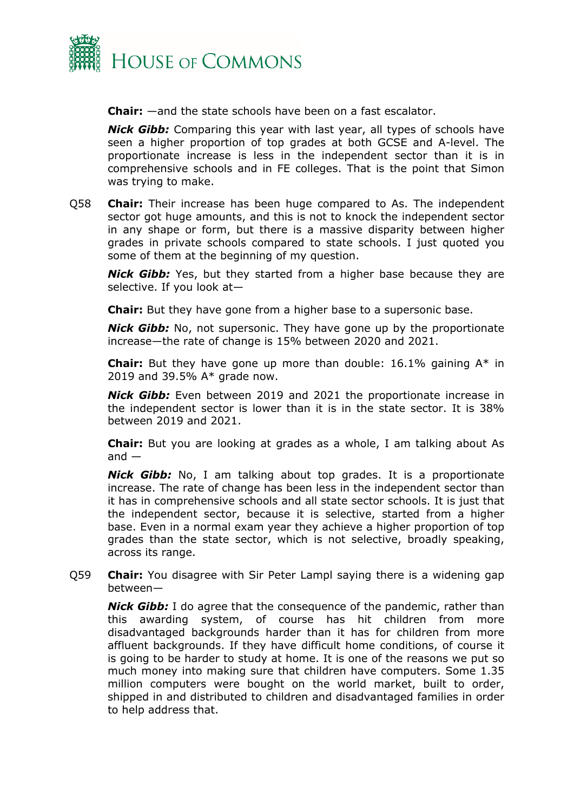

**Chair:** —and the state schools have been on a fast escalator.

*Nick Gibb:* Comparing this year with last year, all types of schools have seen a higher proportion of top grades at both GCSE and A-level. The proportionate increase is less in the independent sector than it is in comprehensive schools and in FE colleges. That is the point that Simon was trying to make.

Q58 **Chair:** Their increase has been huge compared to As. The independent sector got huge amounts, and this is not to knock the independent sector in any shape or form, but there is a massive disparity between higher grades in private schools compared to state schools. I just quoted you some of them at the beginning of my question.

*Nick Gibb:* Yes, but they started from a higher base because they are selective. If you look at—

**Chair:** But they have gone from a higher base to a supersonic base.

*Nick Gibb:* No, not supersonic. They have gone up by the proportionate increase—the rate of change is 15% between 2020 and 2021.

**Chair:** But they have gone up more than double: 16.1% gaining A\* in 2019 and 39.5% A\* grade now.

*Nick Gibb:* Even between 2019 and 2021 the proportionate increase in the independent sector is lower than it is in the state sector. It is 38% between 2019 and 2021.

**Chair:** But you are looking at grades as a whole, I am talking about As  $and -$ 

*Nick Gibb:* No, I am talking about top grades. It is a proportionate increase. The rate of change has been less in the independent sector than it has in comprehensive schools and all state sector schools. It is just that the independent sector, because it is selective, started from a higher base. Even in a normal exam year they achieve a higher proportion of top grades than the state sector, which is not selective, broadly speaking, across its range.

Q59 **Chair:** You disagree with Sir Peter Lampl saying there is a widening gap between—

*Nick Gibb:* I do agree that the consequence of the pandemic, rather than this awarding system, of course has hit children from more disadvantaged backgrounds harder than it has for children from more affluent backgrounds. If they have difficult home conditions, of course it is going to be harder to study at home. It is one of the reasons we put so much money into making sure that children have computers. Some 1.35 million computers were bought on the world market, built to order, shipped in and distributed to children and disadvantaged families in order to help address that.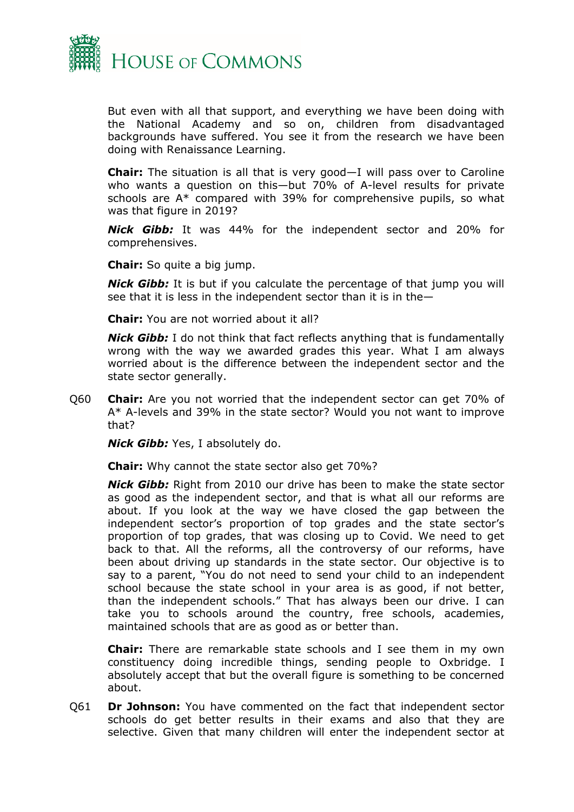

But even with all that support, and everything we have been doing with the National Academy and so on, children from disadvantaged backgrounds have suffered. You see it from the research we have been doing with Renaissance Learning.

**Chair:** The situation is all that is very good—I will pass over to Caroline who wants a question on this—but 70% of A-level results for private schools are A\* compared with 39% for comprehensive pupils, so what was that figure in 2019?

*Nick Gibb:* It was 44% for the independent sector and 20% for comprehensives.

**Chair:** So quite a big jump.

*Nick Gibb:* It is but if you calculate the percentage of that jump you will see that it is less in the independent sector than it is in the—

**Chair:** You are not worried about it all?

*Nick Gibb:* I do not think that fact reflects anything that is fundamentally wrong with the way we awarded grades this year. What I am always worried about is the difference between the independent sector and the state sector generally.

Q60 **Chair:** Are you not worried that the independent sector can get 70% of A\* A-levels and 39% in the state sector? Would you not want to improve that?

*Nick Gibb:* Yes, I absolutely do.

**Chair:** Why cannot the state sector also get 70%?

*Nick Gibb:* Right from 2010 our drive has been to make the state sector as good as the independent sector, and that is what all our reforms are about. If you look at the way we have closed the gap between the independent sector's proportion of top grades and the state sector's proportion of top grades, that was closing up to Covid. We need to get back to that. All the reforms, all the controversy of our reforms, have been about driving up standards in the state sector. Our objective is to say to a parent, "You do not need to send your child to an independent school because the state school in your area is as good, if not better, than the independent schools." That has always been our drive. I can take you to schools around the country, free schools, academies, maintained schools that are as good as or better than.

**Chair:** There are remarkable state schools and I see them in my own constituency doing incredible things, sending people to Oxbridge. I absolutely accept that but the overall figure is something to be concerned about.

Q61 **Dr Johnson:** You have commented on the fact that independent sector schools do get better results in their exams and also that they are selective. Given that many children will enter the independent sector at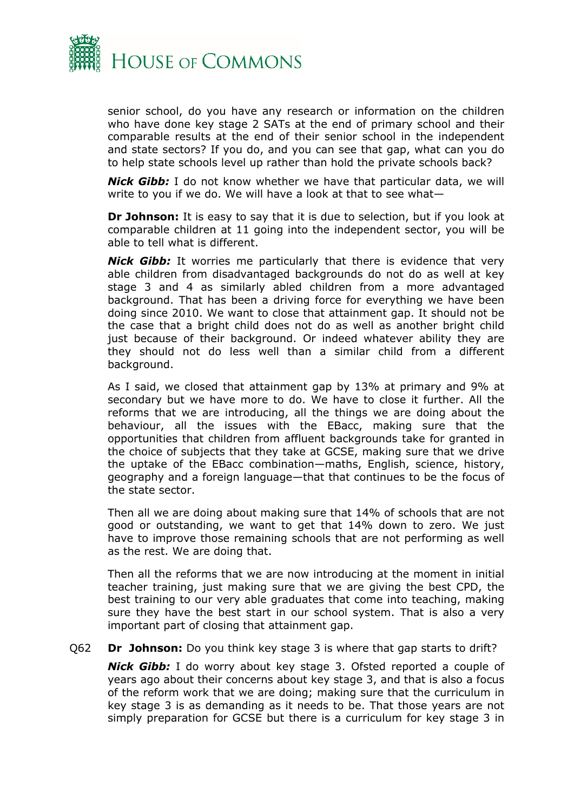

senior school, do you have any research or information on the children who have done key stage 2 SATs at the end of primary school and their comparable results at the end of their senior school in the independent and state sectors? If you do, and you can see that gap, what can you do to help state schools level up rather than hold the private schools back?

*Nick Gibb:* I do not know whether we have that particular data, we will write to you if we do. We will have a look at that to see what—

**Dr Johnson:** It is easy to say that it is due to selection, but if you look at comparable children at 11 going into the independent sector, you will be able to tell what is different.

*Nick Gibb:* It worries me particularly that there is evidence that very able children from disadvantaged backgrounds do not do as well at key stage 3 and 4 as similarly abled children from a more advantaged background. That has been a driving force for everything we have been doing since 2010. We want to close that attainment gap. It should not be the case that a bright child does not do as well as another bright child just because of their background. Or indeed whatever ability they are they should not do less well than a similar child from a different background.

As I said, we closed that attainment gap by 13% at primary and 9% at secondary but we have more to do. We have to close it further. All the reforms that we are introducing, all the things we are doing about the behaviour, all the issues with the EBacc, making sure that the opportunities that children from affluent backgrounds take for granted in the choice of subjects that they take at GCSE, making sure that we drive the uptake of the EBacc combination—maths, English, science, history, geography and a foreign language—that that continues to be the focus of the state sector.

Then all we are doing about making sure that 14% of schools that are not good or outstanding, we want to get that 14% down to zero. We just have to improve those remaining schools that are not performing as well as the rest. We are doing that.

Then all the reforms that we are now introducing at the moment in initial teacher training, just making sure that we are giving the best CPD, the best training to our very able graduates that come into teaching, making sure they have the best start in our school system. That is also a very important part of closing that attainment gap.

Q62 **Dr Johnson:** Do you think key stage 3 is where that gap starts to drift?

*Nick Gibb:* I do worry about key stage 3. Ofsted reported a couple of years ago about their concerns about key stage 3, and that is also a focus of the reform work that we are doing; making sure that the curriculum in key stage 3 is as demanding as it needs to be. That those years are not simply preparation for GCSE but there is a curriculum for key stage 3 in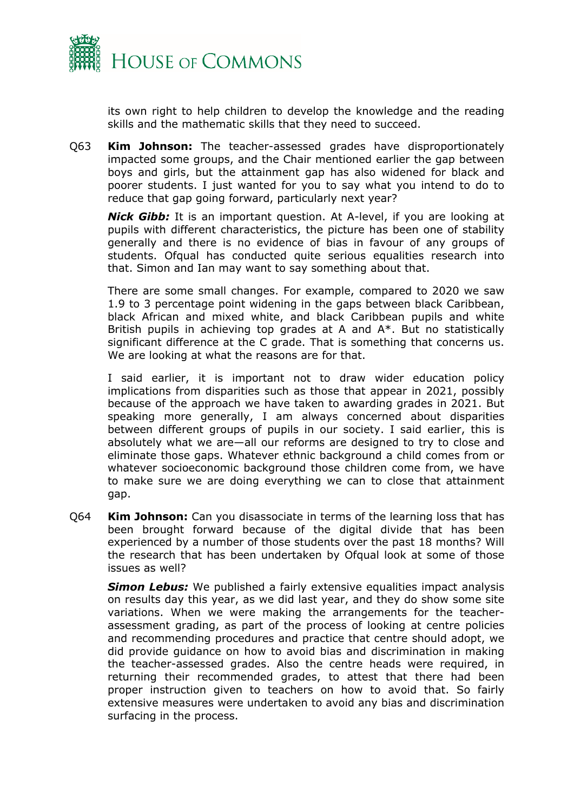

its own right to help children to develop the knowledge and the reading skills and the mathematic skills that they need to succeed.

Q63 **Kim Johnson:** The teacher-assessed grades have disproportionately impacted some groups, and the Chair mentioned earlier the gap between boys and girls, but the attainment gap has also widened for black and poorer students. I just wanted for you to say what you intend to do to reduce that gap going forward, particularly next year?

*Nick Gibb:* It is an important question. At A-level, if you are looking at pupils with different characteristics, the picture has been one of stability generally and there is no evidence of bias in favour of any groups of students. Ofqual has conducted quite serious equalities research into that. Simon and Ian may want to say something about that.

There are some small changes. For example, compared to 2020 we saw 1.9 to 3 percentage point widening in the gaps between black Caribbean, black African and mixed white, and black Caribbean pupils and white British pupils in achieving top grades at A and A\*. But no statistically significant difference at the C grade. That is something that concerns us. We are looking at what the reasons are for that.

I said earlier, it is important not to draw wider education policy implications from disparities such as those that appear in 2021, possibly because of the approach we have taken to awarding grades in 2021. But speaking more generally, I am always concerned about disparities between different groups of pupils in our society. I said earlier, this is absolutely what we are—all our reforms are designed to try to close and eliminate those gaps. Whatever ethnic background a child comes from or whatever socioeconomic background those children come from, we have to make sure we are doing everything we can to close that attainment gap.

Q64 **Kim Johnson:** Can you disassociate in terms of the learning loss that has been brought forward because of the digital divide that has been experienced by a number of those students over the past 18 months? Will the research that has been undertaken by Ofqual look at some of those issues as well?

*Simon Lebus:* We published a fairly extensive equalities impact analysis on results day this year, as we did last year, and they do show some site variations. When we were making the arrangements for the teacherassessment grading, as part of the process of looking at centre policies and recommending procedures and practice that centre should adopt, we did provide guidance on how to avoid bias and discrimination in making the teacher-assessed grades. Also the centre heads were required, in returning their recommended grades, to attest that there had been proper instruction given to teachers on how to avoid that. So fairly extensive measures were undertaken to avoid any bias and discrimination surfacing in the process.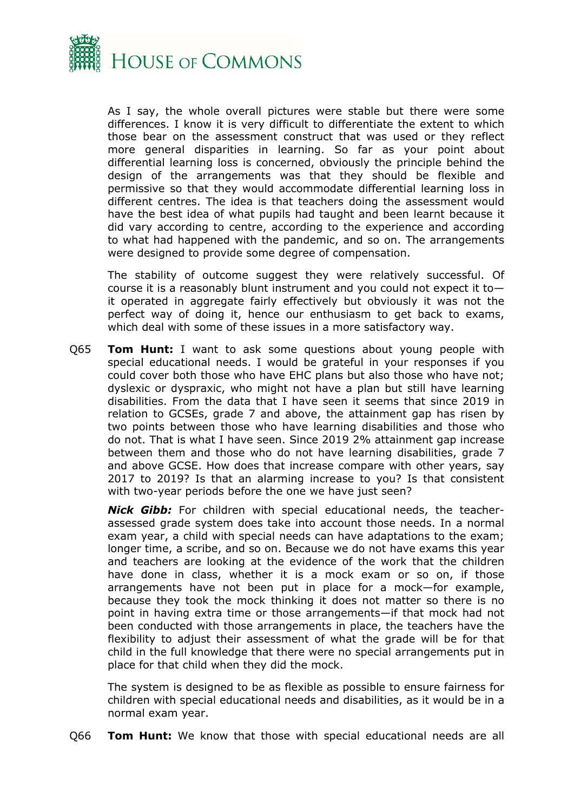

As I say, the whole overall pictures were stable but there were some differences. I know it is very difficult to differentiate the extent to which those bear on the assessment construct that was used or they reflect more general disparities in learning. So far as your point about differential learning loss is concerned, obviously the principle behind the design of the arrangements was that they should be flexible and permissive so that they would accommodate differential learning loss in different centres. The idea is that teachers doing the assessment would have the best idea of what pupils had taught and been learnt because it did vary according to centre, according to the experience and according to what had happened with the pandemic, and so on. The arrangements were designed to provide some degree of compensation.

The stability of outcome suggest they were relatively successful. Of course it is a reasonably blunt instrument and you could not expect it to it operated in aggregate fairly effectively but obviously it was not the perfect way of doing it, hence our enthusiasm to get back to exams, which deal with some of these issues in a more satisfactory way.

Q65 **Tom Hunt:** I want to ask some questions about young people with special educational needs. I would be grateful in your responses if you could cover both those who have EHC plans but also those who have not; dyslexic or dyspraxic, who might not have a plan but still have learning disabilities. From the data that I have seen it seems that since 2019 in relation to GCSEs, grade 7 and above, the attainment gap has risen by two points between those who have learning disabilities and those who do not. That is what I have seen. Since 2019 2% attainment gap increase between them and those who do not have learning disabilities, grade 7 and above GCSE. How does that increase compare with other years, say 2017 to 2019? Is that an alarming increase to you? Is that consistent with two-year periods before the one we have just seen?

*Nick Gibb:* For children with special educational needs, the teacherassessed grade system does take into account those needs. In a normal exam year, a child with special needs can have adaptations to the exam; longer time, a scribe, and so on. Because we do not have exams this year and teachers are looking at the evidence of the work that the children have done in class, whether it is a mock exam or so on, if those arrangements have not been put in place for a mock—for example, because they took the mock thinking it does not matter so there is no point in having extra time or those arrangements—if that mock had not been conducted with those arrangements in place, the teachers have the flexibility to adjust their assessment of what the grade will be for that child in the full knowledge that there were no special arrangements put in place for that child when they did the mock.

The system is designed to be as flexible as possible to ensure fairness for children with special educational needs and disabilities, as it would be in a normal exam year.

Q66 **Tom Hunt:** We know that those with special educational needs are all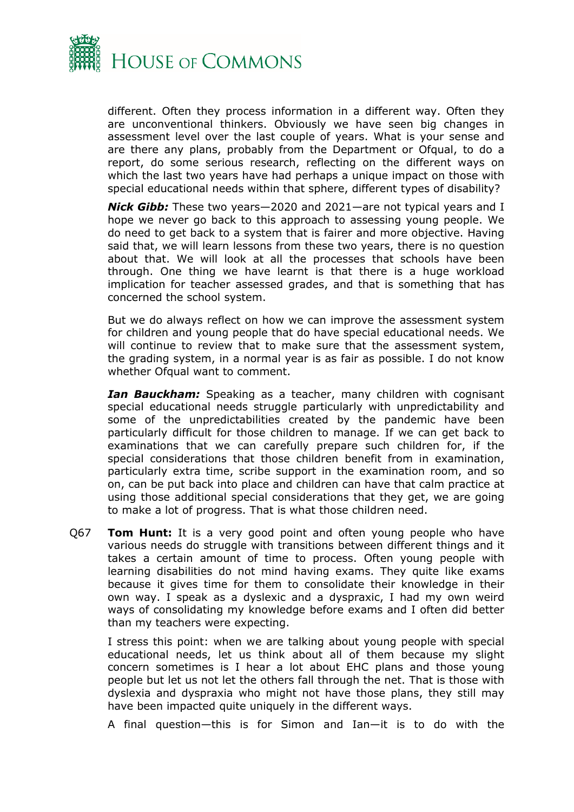

different. Often they process information in a different way. Often they are unconventional thinkers. Obviously we have seen big changes in assessment level over the last couple of years. What is your sense and are there any plans, probably from the Department or Ofqual, to do a report, do some serious research, reflecting on the different ways on which the last two years have had perhaps a unique impact on those with special educational needs within that sphere, different types of disability?

*Nick Gibb:* These two years—2020 and 2021—are not typical years and I hope we never go back to this approach to assessing young people. We do need to get back to a system that is fairer and more objective. Having said that, we will learn lessons from these two years, there is no question about that. We will look at all the processes that schools have been through. One thing we have learnt is that there is a huge workload implication for teacher assessed grades, and that is something that has concerned the school system.

But we do always reflect on how we can improve the assessment system for children and young people that do have special educational needs. We will continue to review that to make sure that the assessment system, the grading system, in a normal year is as fair as possible. I do not know whether Ofqual want to comment.

*Ian Bauckham:* Speaking as a teacher, many children with cognisant special educational needs struggle particularly with unpredictability and some of the unpredictabilities created by the pandemic have been particularly difficult for those children to manage. If we can get back to examinations that we can carefully prepare such children for, if the special considerations that those children benefit from in examination, particularly extra time, scribe support in the examination room, and so on, can be put back into place and children can have that calm practice at using those additional special considerations that they get, we are going to make a lot of progress. That is what those children need.

Q67 **Tom Hunt:** It is a very good point and often young people who have various needs do struggle with transitions between different things and it takes a certain amount of time to process. Often young people with learning disabilities do not mind having exams. They quite like exams because it gives time for them to consolidate their knowledge in their own way. I speak as a dyslexic and a dyspraxic, I had my own weird ways of consolidating my knowledge before exams and I often did better than my teachers were expecting.

I stress this point: when we are talking about young people with special educational needs, let us think about all of them because my slight concern sometimes is I hear a lot about EHC plans and those young people but let us not let the others fall through the net. That is those with dyslexia and dyspraxia who might not have those plans, they still may have been impacted quite uniquely in the different ways.

A final question—this is for Simon and Ian—it is to do with the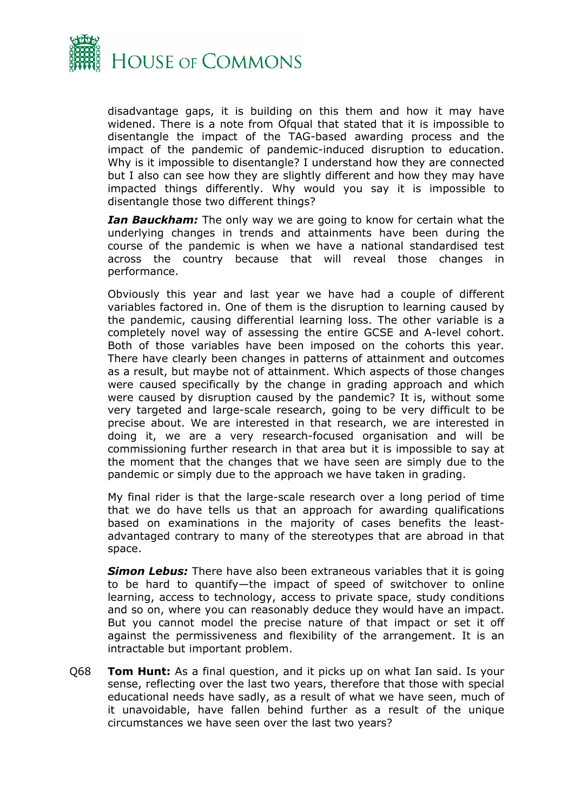

disadvantage gaps, it is building on this them and how it may have widened. There is a note from Ofqual that stated that it is impossible to disentangle the impact of the TAG-based awarding process and the impact of the pandemic of pandemic-induced disruption to education. Why is it impossible to disentangle? I understand how they are connected but I also can see how they are slightly different and how they may have impacted things differently. Why would you say it is impossible to disentangle those two different things?

*Ian Bauckham:* The only way we are going to know for certain what the underlying changes in trends and attainments have been during the course of the pandemic is when we have a national standardised test across the country because that will reveal those changes in performance.

Obviously this year and last year we have had a couple of different variables factored in. One of them is the disruption to learning caused by the pandemic, causing differential learning loss. The other variable is a completely novel way of assessing the entire GCSE and A-level cohort. Both of those variables have been imposed on the cohorts this year. There have clearly been changes in patterns of attainment and outcomes as a result, but maybe not of attainment. Which aspects of those changes were caused specifically by the change in grading approach and which were caused by disruption caused by the pandemic? It is, without some very targeted and large-scale research, going to be very difficult to be precise about. We are interested in that research, we are interested in doing it, we are a very research-focused organisation and will be commissioning further research in that area but it is impossible to say at the moment that the changes that we have seen are simply due to the pandemic or simply due to the approach we have taken in grading.

My final rider is that the large-scale research over a long period of time that we do have tells us that an approach for awarding qualifications based on examinations in the majority of cases benefits the leastadvantaged contrary to many of the stereotypes that are abroad in that space.

*Simon Lebus:* There have also been extraneous variables that it is going to be hard to quantify—the impact of speed of switchover to online learning, access to technology, access to private space, study conditions and so on, where you can reasonably deduce they would have an impact. But you cannot model the precise nature of that impact or set it off against the permissiveness and flexibility of the arrangement. It is an intractable but important problem.

Q68 **Tom Hunt:** As a final question, and it picks up on what Ian said. Is your sense, reflecting over the last two years, therefore that those with special educational needs have sadly, as a result of what we have seen, much of it unavoidable, have fallen behind further as a result of the unique circumstances we have seen over the last two years?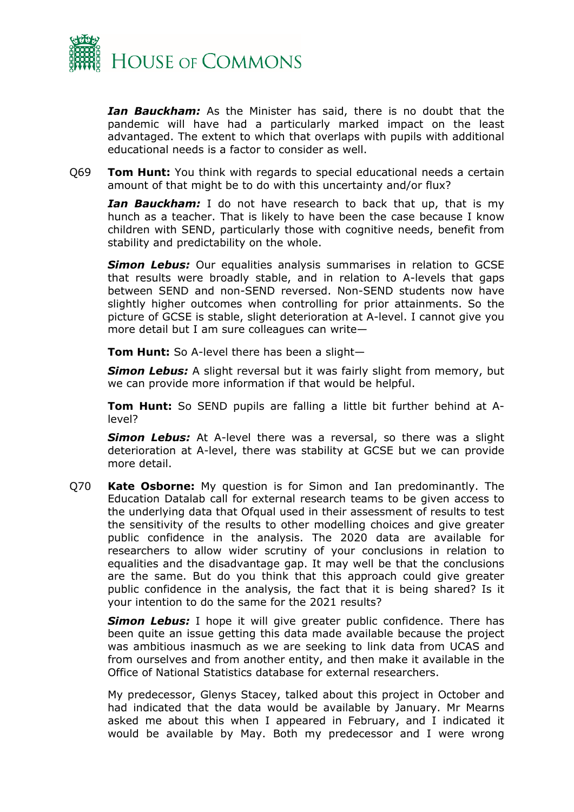

*Ian Bauckham:* As the Minister has said, there is no doubt that the pandemic will have had a particularly marked impact on the least advantaged. The extent to which that overlaps with pupils with additional educational needs is a factor to consider as well.

Q69 **Tom Hunt:** You think with regards to special educational needs a certain amount of that might be to do with this uncertainty and/or flux?

*Ian Bauckham:* I do not have research to back that up, that is my hunch as a teacher. That is likely to have been the case because I know children with SEND, particularly those with cognitive needs, benefit from stability and predictability on the whole.

*Simon Lebus:* Our equalities analysis summarises in relation to GCSE that results were broadly stable, and in relation to A-levels that gaps between SEND and non-SEND reversed. Non-SEND students now have slightly higher outcomes when controlling for prior attainments. So the picture of GCSE is stable, slight deterioration at A-level. I cannot give you more detail but I am sure colleagues can write—

**Tom Hunt:** So A-level there has been a slight—

*Simon Lebus:* A slight reversal but it was fairly slight from memory, but we can provide more information if that would be helpful.

**Tom Hunt:** So SEND pupils are falling a little bit further behind at Alevel?

*Simon Lebus:* At A-level there was a reversal, so there was a slight deterioration at A-level, there was stability at GCSE but we can provide more detail.

Q70 **Kate Osborne:** My question is for Simon and Ian predominantly. The Education Datalab call for external research teams to be given access to the underlying data that Ofqual used in their assessment of results to test the sensitivity of the results to other modelling choices and give greater public confidence in the analysis. The 2020 data are available for researchers to allow wider scrutiny of your conclusions in relation to equalities and the disadvantage gap. It may well be that the conclusions are the same. But do you think that this approach could give greater public confidence in the analysis, the fact that it is being shared? Is it your intention to do the same for the 2021 results?

**Simon Lebus:** I hope it will give greater public confidence. There has been quite an issue getting this data made available because the project was ambitious inasmuch as we are seeking to link data from UCAS and from ourselves and from another entity, and then make it available in the Office of National Statistics database for external researchers.

My predecessor, Glenys Stacey, talked about this project in October and had indicated that the data would be available by January. Mr Mearns asked me about this when I appeared in February, and I indicated it would be available by May. Both my predecessor and I were wrong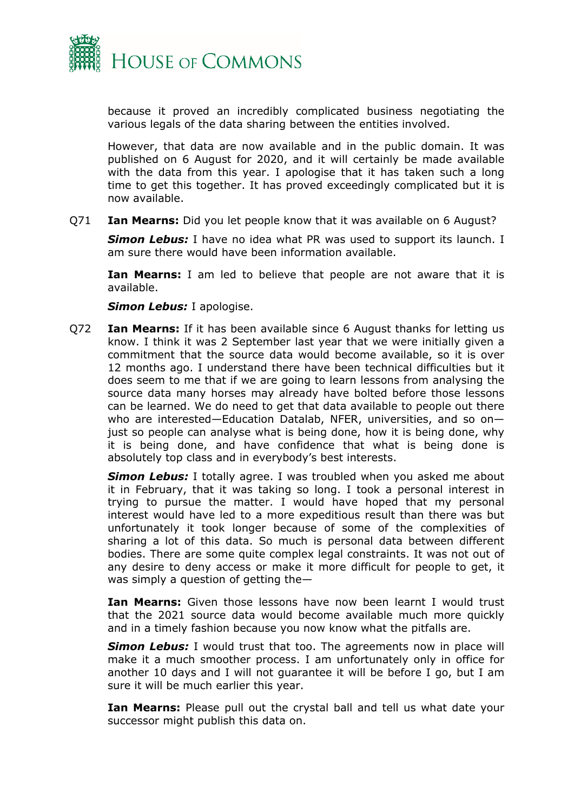

because it proved an incredibly complicated business negotiating the various legals of the data sharing between the entities involved.

However, that data are now available and in the public domain. It was published on 6 August for 2020, and it will certainly be made available with the data from this year. I apologise that it has taken such a long time to get this together. It has proved exceedingly complicated but it is now available.

Q71 **Ian Mearns:** Did you let people know that it was available on 6 August?

*Simon Lebus:* I have no idea what PR was used to support its launch. I am sure there would have been information available.

**Ian Mearns:** I am led to believe that people are not aware that it is available.

*Simon Lebus:* I apologise.

Q72 **Ian Mearns:** If it has been available since 6 August thanks for letting us know. I think it was 2 September last year that we were initially given a commitment that the source data would become available, so it is over 12 months ago. I understand there have been technical difficulties but it does seem to me that if we are going to learn lessons from analysing the source data many horses may already have bolted before those lessons can be learned. We do need to get that data available to people out there who are interested—Education Datalab, NFER, universities, and so on just so people can analyse what is being done, how it is being done, why it is being done, and have confidence that what is being done is absolutely top class and in everybody's best interests.

*Simon Lebus:* I totally agree. I was troubled when you asked me about it in February, that it was taking so long. I took a personal interest in trying to pursue the matter. I would have hoped that my personal interest would have led to a more expeditious result than there was but unfortunately it took longer because of some of the complexities of sharing a lot of this data. So much is personal data between different bodies. There are some quite complex legal constraints. It was not out of any desire to deny access or make it more difficult for people to get, it was simply a question of getting the—

**Ian Mearns:** Given those lessons have now been learnt I would trust that the 2021 source data would become available much more quickly and in a timely fashion because you now know what the pitfalls are.

**Simon Lebus:** I would trust that too. The agreements now in place will make it a much smoother process. I am unfortunately only in office for another 10 days and I will not guarantee it will be before I go, but I am sure it will be much earlier this year.

**Ian Mearns:** Please pull out the crystal ball and tell us what date your successor might publish this data on.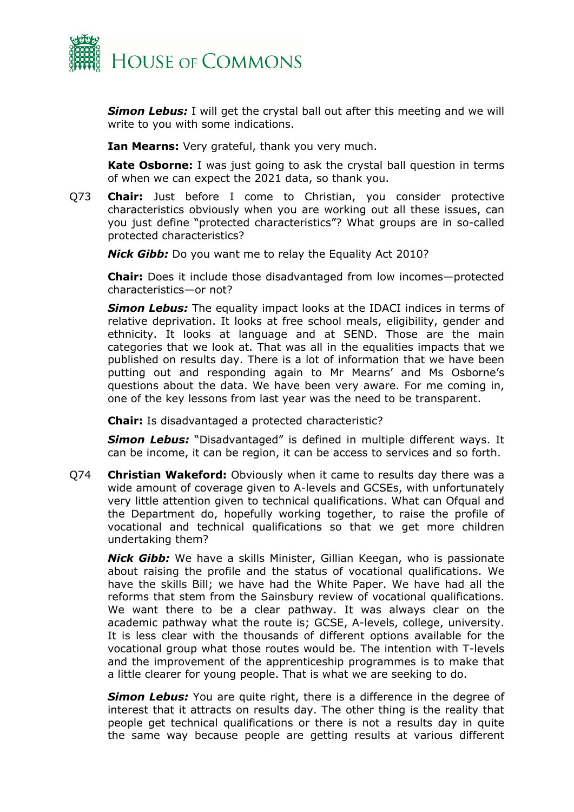

*Simon Lebus:* I will get the crystal ball out after this meeting and we will write to you with some indications.

**Ian Mearns:** Very grateful, thank you very much.

**Kate Osborne:** I was just going to ask the crystal ball question in terms of when we can expect the 2021 data, so thank you.

Q73 **Chair:** Just before I come to Christian, you consider protective characteristics obviously when you are working out all these issues, can you just define "protected characteristics"? What groups are in so-called protected characteristics?

*Nick Gibb:* Do you want me to relay the Equality Act 2010?

**Chair:** Does it include those disadvantaged from low incomes—protected characteristics—or not?

*Simon Lebus:* The equality impact looks at the IDACI indices in terms of relative deprivation. It looks at free school meals, eligibility, gender and ethnicity. It looks at language and at SEND. Those are the main categories that we look at. That was all in the equalities impacts that we published on results day. There is a lot of information that we have been putting out and responding again to Mr Mearns' and Ms Osborne's questions about the data. We have been very aware. For me coming in, one of the key lessons from last year was the need to be transparent.

**Chair:** Is disadvantaged a protected characteristic?

*Simon Lebus:* "Disadvantaged" is defined in multiple different ways. It can be income, it can be region, it can be access to services and so forth.

Q74 **Christian Wakeford:** Obviously when it came to results day there was a wide amount of coverage given to A-levels and GCSEs, with unfortunately very little attention given to technical qualifications. What can Ofqual and the Department do, hopefully working together, to raise the profile of vocational and technical qualifications so that we get more children undertaking them?

*Nick Gibb:* We have a skills Minister, Gillian Keegan, who is passionate about raising the profile and the status of vocational qualifications. We have the skills Bill; we have had the White Paper. We have had all the reforms that stem from the Sainsbury review of vocational qualifications. We want there to be a clear pathway. It was always clear on the academic pathway what the route is; GCSE, A-levels, college, university. It is less clear with the thousands of different options available for the vocational group what those routes would be. The intention with T-levels and the improvement of the apprenticeship programmes is to make that a little clearer for young people. That is what we are seeking to do.

**Simon Lebus:** You are quite right, there is a difference in the degree of interest that it attracts on results day. The other thing is the reality that people get technical qualifications or there is not a results day in quite the same way because people are getting results at various different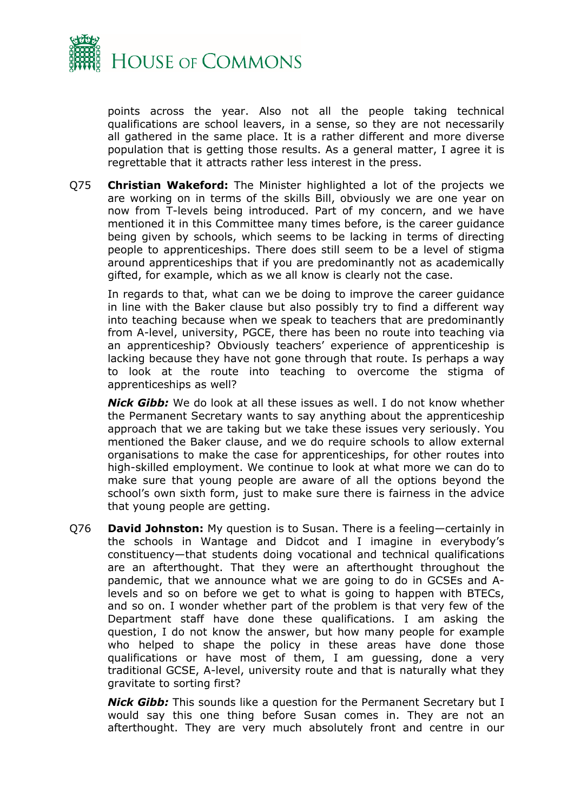

points across the year. Also not all the people taking technical qualifications are school leavers, in a sense, so they are not necessarily all gathered in the same place. It is a rather different and more diverse population that is getting those results. As a general matter, I agree it is regrettable that it attracts rather less interest in the press.

Q75 **Christian Wakeford:** The Minister highlighted a lot of the projects we are working on in terms of the skills Bill, obviously we are one year on now from T-levels being introduced. Part of my concern, and we have mentioned it in this Committee many times before, is the career guidance being given by schools, which seems to be lacking in terms of directing people to apprenticeships. There does still seem to be a level of stigma around apprenticeships that if you are predominantly not as academically gifted, for example, which as we all know is clearly not the case.

In regards to that, what can we be doing to improve the career guidance in line with the Baker clause but also possibly try to find a different way into teaching because when we speak to teachers that are predominantly from A-level, university, PGCE, there has been no route into teaching via an apprenticeship? Obviously teachers' experience of apprenticeship is lacking because they have not gone through that route. Is perhaps a way to look at the route into teaching to overcome the stigma of apprenticeships as well?

*Nick Gibb:* We do look at all these issues as well. I do not know whether the Permanent Secretary wants to say anything about the apprenticeship approach that we are taking but we take these issues very seriously. You mentioned the Baker clause, and we do require schools to allow external organisations to make the case for apprenticeships, for other routes into high-skilled employment. We continue to look at what more we can do to make sure that young people are aware of all the options beyond the school's own sixth form, just to make sure there is fairness in the advice that young people are getting.

Q76 **David Johnston:** My question is to Susan. There is a feeling—certainly in the schools in Wantage and Didcot and I imagine in everybody's constituency—that students doing vocational and technical qualifications are an afterthought. That they were an afterthought throughout the pandemic, that we announce what we are going to do in GCSEs and Alevels and so on before we get to what is going to happen with BTECs, and so on. I wonder whether part of the problem is that very few of the Department staff have done these qualifications. I am asking the question, I do not know the answer, but how many people for example who helped to shape the policy in these areas have done those qualifications or have most of them, I am guessing, done a very traditional GCSE, A-level, university route and that is naturally what they gravitate to sorting first?

*Nick Gibb:* This sounds like a question for the Permanent Secretary but I would say this one thing before Susan comes in. They are not an afterthought. They are very much absolutely front and centre in our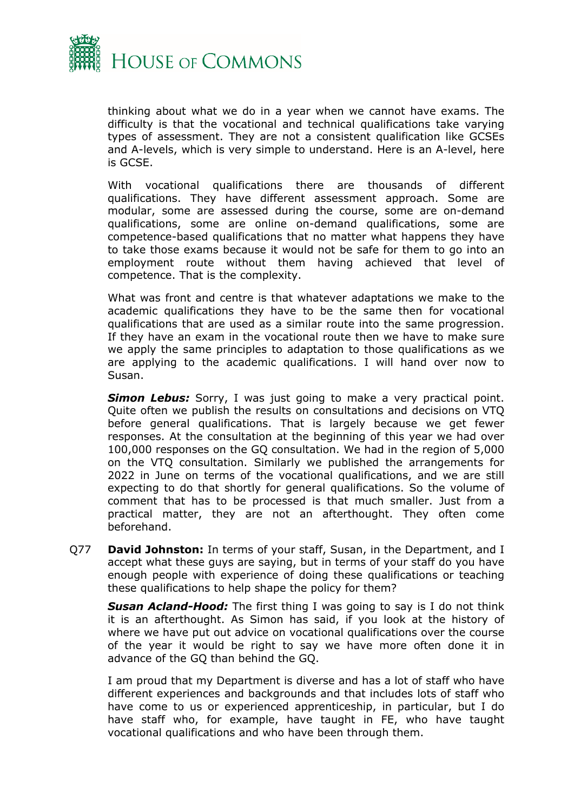

thinking about what we do in a year when we cannot have exams. The difficulty is that the vocational and technical qualifications take varying types of assessment. They are not a consistent qualification like GCSEs and A-levels, which is very simple to understand. Here is an A-level, here is GCSE.

With vocational qualifications there are thousands of different qualifications. They have different assessment approach. Some are modular, some are assessed during the course, some are on-demand qualifications, some are online on-demand qualifications, some are competence-based qualifications that no matter what happens they have to take those exams because it would not be safe for them to go into an employment route without them having achieved that level of competence. That is the complexity.

What was front and centre is that whatever adaptations we make to the academic qualifications they have to be the same then for vocational qualifications that are used as a similar route into the same progression. If they have an exam in the vocational route then we have to make sure we apply the same principles to adaptation to those qualifications as we are applying to the academic qualifications. I will hand over now to Susan.

**Simon Lebus:** Sorry, I was just going to make a very practical point. Quite often we publish the results on consultations and decisions on VTQ before general qualifications. That is largely because we get fewer responses. At the consultation at the beginning of this year we had over 100,000 responses on the GQ consultation. We had in the region of 5,000 on the VTQ consultation. Similarly we published the arrangements for 2022 in June on terms of the vocational qualifications, and we are still expecting to do that shortly for general qualifications. So the volume of comment that has to be processed is that much smaller. Just from a practical matter, they are not an afterthought. They often come beforehand.

Q77 **David Johnston:** In terms of your staff, Susan, in the Department, and I accept what these guys are saying, but in terms of your staff do you have enough people with experience of doing these qualifications or teaching these qualifications to help shape the policy for them?

*Susan Acland-Hood:* The first thing I was going to say is I do not think it is an afterthought. As Simon has said, if you look at the history of where we have put out advice on vocational qualifications over the course of the year it would be right to say we have more often done it in advance of the GQ than behind the GQ.

I am proud that my Department is diverse and has a lot of staff who have different experiences and backgrounds and that includes lots of staff who have come to us or experienced apprenticeship, in particular, but I do have staff who, for example, have taught in FE, who have taught vocational qualifications and who have been through them.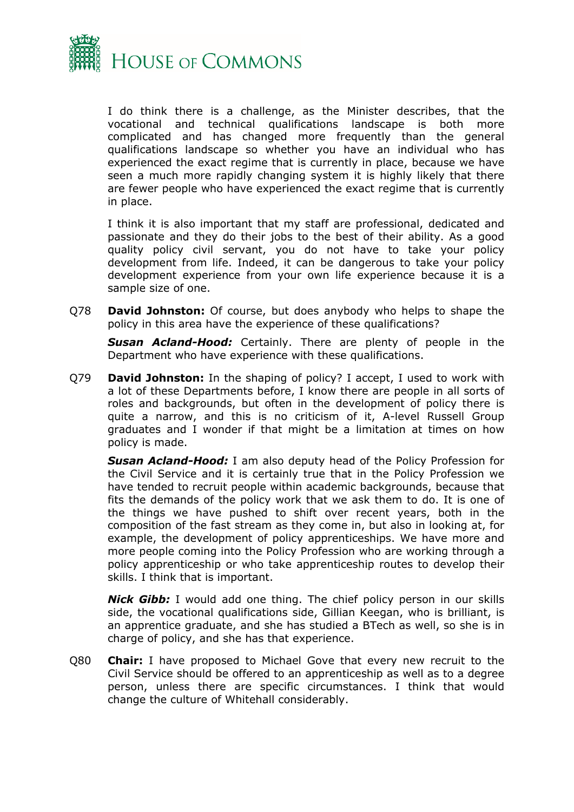

I do think there is a challenge, as the Minister describes, that the vocational and technical qualifications landscape is both more complicated and has changed more frequently than the general qualifications landscape so whether you have an individual who has experienced the exact regime that is currently in place, because we have seen a much more rapidly changing system it is highly likely that there are fewer people who have experienced the exact regime that is currently in place.

I think it is also important that my staff are professional, dedicated and passionate and they do their jobs to the best of their ability. As a good quality policy civil servant, you do not have to take your policy development from life. Indeed, it can be dangerous to take your policy development experience from your own life experience because it is a sample size of one.

Q78 **David Johnston:** Of course, but does anybody who helps to shape the policy in this area have the experience of these qualifications?

*Susan Acland-Hood:* Certainly. There are plenty of people in the Department who have experience with these qualifications.

Q79 **David Johnston:** In the shaping of policy? I accept, I used to work with a lot of these Departments before, I know there are people in all sorts of roles and backgrounds, but often in the development of policy there is quite a narrow, and this is no criticism of it, A-level Russell Group graduates and I wonder if that might be a limitation at times on how policy is made.

*Susan Acland-Hood:* I am also deputy head of the Policy Profession for the Civil Service and it is certainly true that in the Policy Profession we have tended to recruit people within academic backgrounds, because that fits the demands of the policy work that we ask them to do. It is one of the things we have pushed to shift over recent years, both in the composition of the fast stream as they come in, but also in looking at, for example, the development of policy apprenticeships. We have more and more people coming into the Policy Profession who are working through a policy apprenticeship or who take apprenticeship routes to develop their skills. I think that is important.

*Nick Gibb:* I would add one thing. The chief policy person in our skills side, the vocational qualifications side, Gillian Keegan, who is brilliant, is an apprentice graduate, and she has studied a BTech as well, so she is in charge of policy, and she has that experience.

Q80 **Chair:** I have proposed to Michael Gove that every new recruit to the Civil Service should be offered to an apprenticeship as well as to a degree person, unless there are specific circumstances. I think that would change the culture of Whitehall considerably.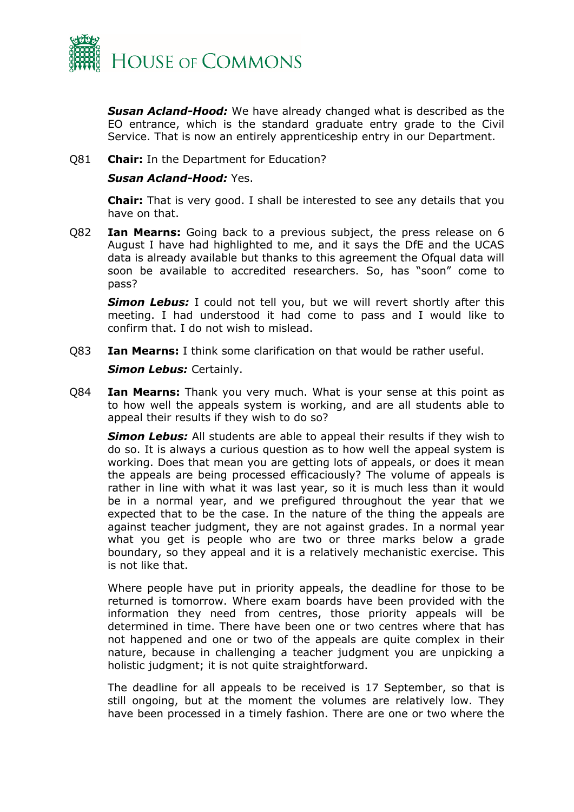

*Susan Acland-Hood:* We have already changed what is described as the EO entrance, which is the standard graduate entry grade to the Civil Service. That is now an entirely apprenticeship entry in our Department.

#### Q81 **Chair:** In the Department for Education?

#### *Susan Acland-Hood:* Yes.

**Chair:** That is very good. I shall be interested to see any details that you have on that.

Q82 **Ian Mearns:** Going back to a previous subject, the press release on 6 August I have had highlighted to me, and it says the DfE and the UCAS data is already available but thanks to this agreement the Ofqual data will soon be available to accredited researchers. So, has "soon" come to pass?

**Simon Lebus:** I could not tell you, but we will revert shortly after this meeting. I had understood it had come to pass and I would like to confirm that. I do not wish to mislead.

Q83 **Ian Mearns:** I think some clarification on that would be rather useful.

#### *Simon Lebus:* Certainly.

Q84 **Ian Mearns:** Thank you very much. What is your sense at this point as to how well the appeals system is working, and are all students able to appeal their results if they wish to do so?

*Simon Lebus:* All students are able to appeal their results if they wish to do so. It is always a curious question as to how well the appeal system is working. Does that mean you are getting lots of appeals, or does it mean the appeals are being processed efficaciously? The volume of appeals is rather in line with what it was last year, so it is much less than it would be in a normal year, and we prefigured throughout the year that we expected that to be the case. In the nature of the thing the appeals are against teacher judgment, they are not against grades. In a normal year what you get is people who are two or three marks below a grade boundary, so they appeal and it is a relatively mechanistic exercise. This is not like that.

Where people have put in priority appeals, the deadline for those to be returned is tomorrow. Where exam boards have been provided with the information they need from centres, those priority appeals will be determined in time. There have been one or two centres where that has not happened and one or two of the appeals are quite complex in their nature, because in challenging a teacher judgment you are unpicking a holistic judgment; it is not quite straightforward.

The deadline for all appeals to be received is 17 September, so that is still ongoing, but at the moment the volumes are relatively low. They have been processed in a timely fashion. There are one or two where the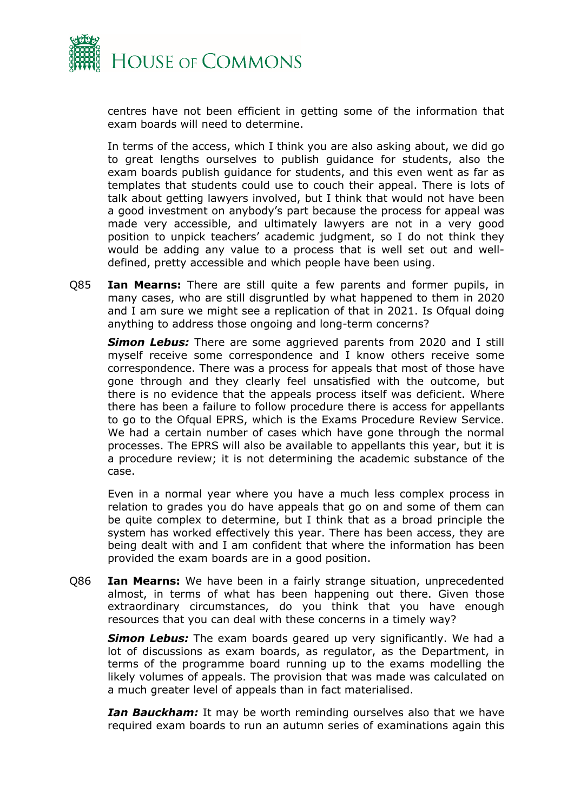

centres have not been efficient in getting some of the information that exam boards will need to determine.

In terms of the access, which I think you are also asking about, we did go to great lengths ourselves to publish guidance for students, also the exam boards publish guidance for students, and this even went as far as templates that students could use to couch their appeal. There is lots of talk about getting lawyers involved, but I think that would not have been a good investment on anybody's part because the process for appeal was made very accessible, and ultimately lawyers are not in a very good position to unpick teachers' academic judgment, so I do not think they would be adding any value to a process that is well set out and welldefined, pretty accessible and which people have been using.

Q85 **Ian Mearns:** There are still quite a few parents and former pupils, in many cases, who are still disgruntled by what happened to them in 2020 and I am sure we might see a replication of that in 2021. Is Ofqual doing anything to address those ongoing and long-term concerns?

*Simon Lebus:* There are some aggrieved parents from 2020 and I still myself receive some correspondence and I know others receive some correspondence. There was a process for appeals that most of those have gone through and they clearly feel unsatisfied with the outcome, but there is no evidence that the appeals process itself was deficient. Where there has been a failure to follow procedure there is access for appellants to go to the Ofqual EPRS, which is the Exams Procedure Review Service. We had a certain number of cases which have gone through the normal processes. The EPRS will also be available to appellants this year, but it is a procedure review; it is not determining the academic substance of the case.

Even in a normal year where you have a much less complex process in relation to grades you do have appeals that go on and some of them can be quite complex to determine, but I think that as a broad principle the system has worked effectively this year. There has been access, they are being dealt with and I am confident that where the information has been provided the exam boards are in a good position.

Q86 **Ian Mearns:** We have been in a fairly strange situation, unprecedented almost, in terms of what has been happening out there. Given those extraordinary circumstances, do you think that you have enough resources that you can deal with these concerns in a timely way?

*Simon Lebus:* The exam boards geared up very significantly. We had a lot of discussions as exam boards, as regulator, as the Department, in terms of the programme board running up to the exams modelling the likely volumes of appeals. The provision that was made was calculated on a much greater level of appeals than in fact materialised.

*Ian Bauckham:* It may be worth reminding ourselves also that we have required exam boards to run an autumn series of examinations again this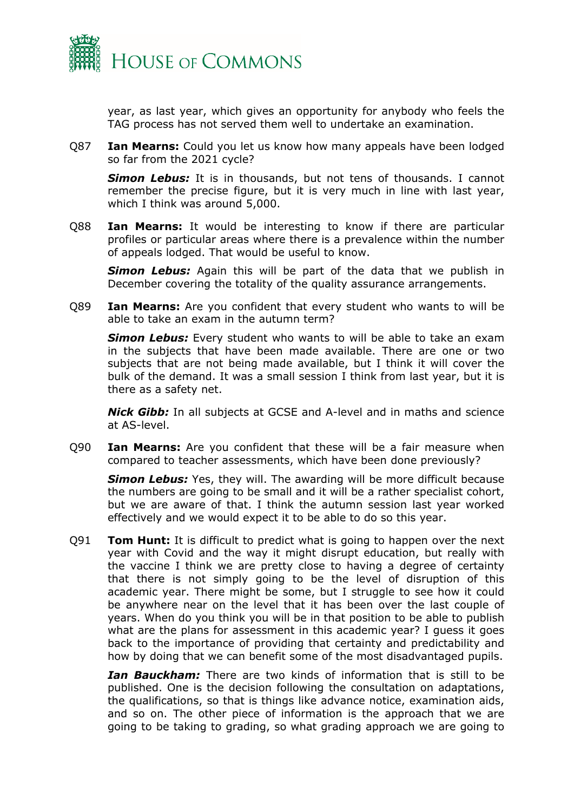

year, as last year, which gives an opportunity for anybody who feels the TAG process has not served them well to undertake an examination.

Q87 **Ian Mearns:** Could you let us know how many appeals have been lodged so far from the 2021 cycle?

*Simon Lebus:* It is in thousands, but not tens of thousands. I cannot remember the precise figure, but it is very much in line with last year, which I think was around 5,000.

Q88 **Ian Mearns:** It would be interesting to know if there are particular profiles or particular areas where there is a prevalence within the number of appeals lodged. That would be useful to know.

*Simon Lebus:* Again this will be part of the data that we publish in December covering the totality of the quality assurance arrangements.

Q89 **Ian Mearns:** Are you confident that every student who wants to will be able to take an exam in the autumn term?

*Simon Lebus:* Every student who wants to will be able to take an exam in the subjects that have been made available. There are one or two subjects that are not being made available, but I think it will cover the bulk of the demand. It was a small session I think from last year, but it is there as a safety net.

*Nick Gibb:* In all subjects at GCSE and A-level and in maths and science at AS-level.

Q90 **Ian Mearns:** Are you confident that these will be a fair measure when compared to teacher assessments, which have been done previously?

**Simon Lebus:** Yes, they will. The awarding will be more difficult because the numbers are going to be small and it will be a rather specialist cohort, but we are aware of that. I think the autumn session last year worked effectively and we would expect it to be able to do so this year.

Q91 **Tom Hunt:** It is difficult to predict what is going to happen over the next year with Covid and the way it might disrupt education, but really with the vaccine I think we are pretty close to having a degree of certainty that there is not simply going to be the level of disruption of this academic year. There might be some, but I struggle to see how it could be anywhere near on the level that it has been over the last couple of years. When do you think you will be in that position to be able to publish what are the plans for assessment in this academic year? I guess it goes back to the importance of providing that certainty and predictability and how by doing that we can benefit some of the most disadvantaged pupils.

*Ian Bauckham:* There are two kinds of information that is still to be published. One is the decision following the consultation on adaptations, the qualifications, so that is things like advance notice, examination aids, and so on. The other piece of information is the approach that we are going to be taking to grading, so what grading approach we are going to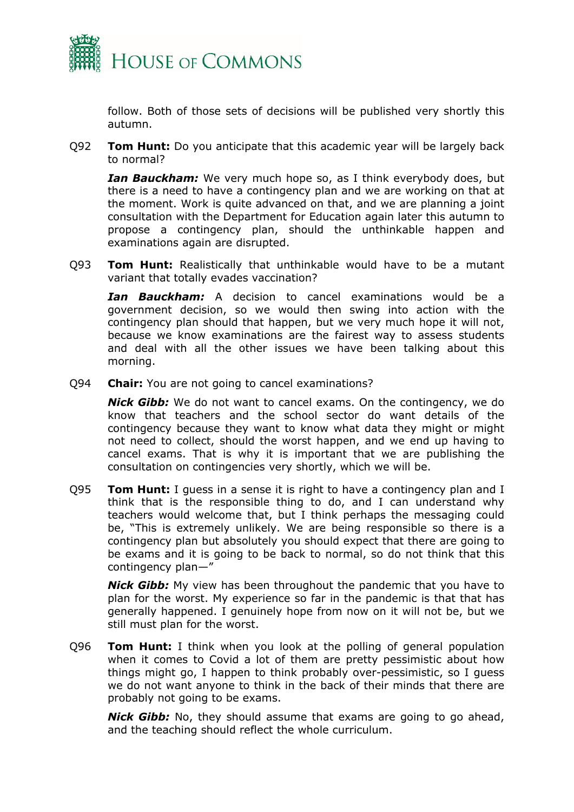

follow. Both of those sets of decisions will be published very shortly this autumn.

Q92 **Tom Hunt:** Do you anticipate that this academic year will be largely back to normal?

*Ian Bauckham:* We very much hope so, as I think everybody does, but there is a need to have a contingency plan and we are working on that at the moment. Work is quite advanced on that, and we are planning a joint consultation with the Department for Education again later this autumn to propose a contingency plan, should the unthinkable happen and examinations again are disrupted.

Q93 **Tom Hunt:** Realistically that unthinkable would have to be a mutant variant that totally evades vaccination?

*Ian Bauckham:* A decision to cancel examinations would be a government decision, so we would then swing into action with the contingency plan should that happen, but we very much hope it will not, because we know examinations are the fairest way to assess students and deal with all the other issues we have been talking about this morning.

Q94 **Chair:** You are not going to cancel examinations?

*Nick Gibb:* We do not want to cancel exams. On the contingency, we do know that teachers and the school sector do want details of the contingency because they want to know what data they might or might not need to collect, should the worst happen, and we end up having to cancel exams. That is why it is important that we are publishing the consultation on contingencies very shortly, which we will be.

Q95 **Tom Hunt:** I guess in a sense it is right to have a contingency plan and I think that is the responsible thing to do, and I can understand why teachers would welcome that, but I think perhaps the messaging could be, "This is extremely unlikely. We are being responsible so there is a contingency plan but absolutely you should expect that there are going to be exams and it is going to be back to normal, so do not think that this contingency plan—"

*Nick Gibb:* My view has been throughout the pandemic that you have to plan for the worst. My experience so far in the pandemic is that that has generally happened. I genuinely hope from now on it will not be, but we still must plan for the worst.

Q96 **Tom Hunt:** I think when you look at the polling of general population when it comes to Covid a lot of them are pretty pessimistic about how things might go, I happen to think probably over-pessimistic, so I guess we do not want anyone to think in the back of their minds that there are probably not going to be exams.

*Nick Gibb:* No, they should assume that exams are going to go ahead, and the teaching should reflect the whole curriculum.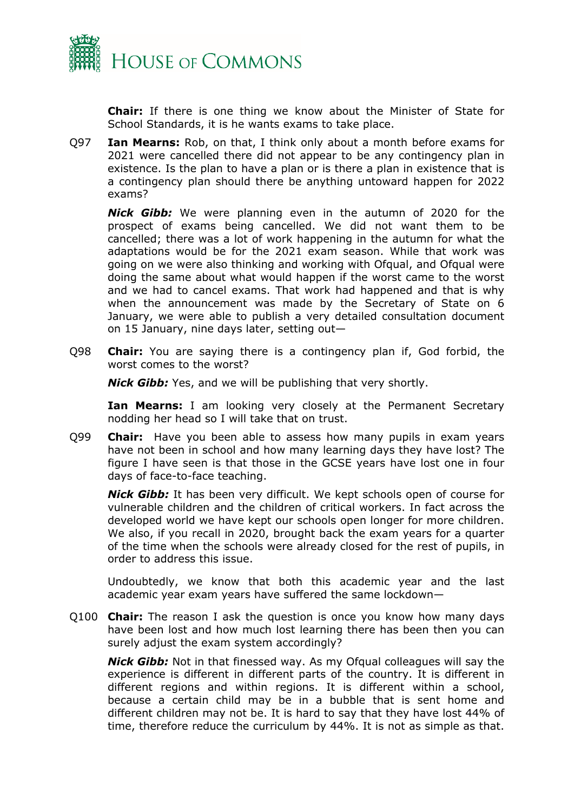

**Chair:** If there is one thing we know about the Minister of State for School Standards, it is he wants exams to take place.

Q97 **Ian Mearns:** Rob, on that, I think only about a month before exams for 2021 were cancelled there did not appear to be any contingency plan in existence. Is the plan to have a plan or is there a plan in existence that is a contingency plan should there be anything untoward happen for 2022 exams?

*Nick Gibb:* We were planning even in the autumn of 2020 for the prospect of exams being cancelled. We did not want them to be cancelled; there was a lot of work happening in the autumn for what the adaptations would be for the 2021 exam season. While that work was going on we were also thinking and working with Ofqual, and Ofqual were doing the same about what would happen if the worst came to the worst and we had to cancel exams. That work had happened and that is why when the announcement was made by the Secretary of State on 6 January, we were able to publish a very detailed consultation document on 15 January, nine days later, setting out—

Q98 **Chair:** You are saying there is a contingency plan if, God forbid, the worst comes to the worst?

*Nick Gibb:* Yes, and we will be publishing that very shortly.

**Ian Mearns:** I am looking very closely at the Permanent Secretary nodding her head so I will take that on trust.

Q99 **Chair:** Have you been able to assess how many pupils in exam years have not been in school and how many learning days they have lost? The figure I have seen is that those in the GCSE years have lost one in four days of face-to-face teaching.

*Nick Gibb:* It has been very difficult. We kept schools open of course for vulnerable children and the children of critical workers. In fact across the developed world we have kept our schools open longer for more children. We also, if you recall in 2020, brought back the exam years for a quarter of the time when the schools were already closed for the rest of pupils, in order to address this issue.

Undoubtedly, we know that both this academic year and the last academic year exam years have suffered the same lockdown—

Q100 **Chair:** The reason I ask the question is once you know how many days have been lost and how much lost learning there has been then you can surely adjust the exam system accordingly?

*Nick Gibb:* Not in that finessed way. As my Ofqual colleagues will say the experience is different in different parts of the country. It is different in different regions and within regions. It is different within a school, because a certain child may be in a bubble that is sent home and different children may not be. It is hard to say that they have lost 44% of time, therefore reduce the curriculum by 44%. It is not as simple as that.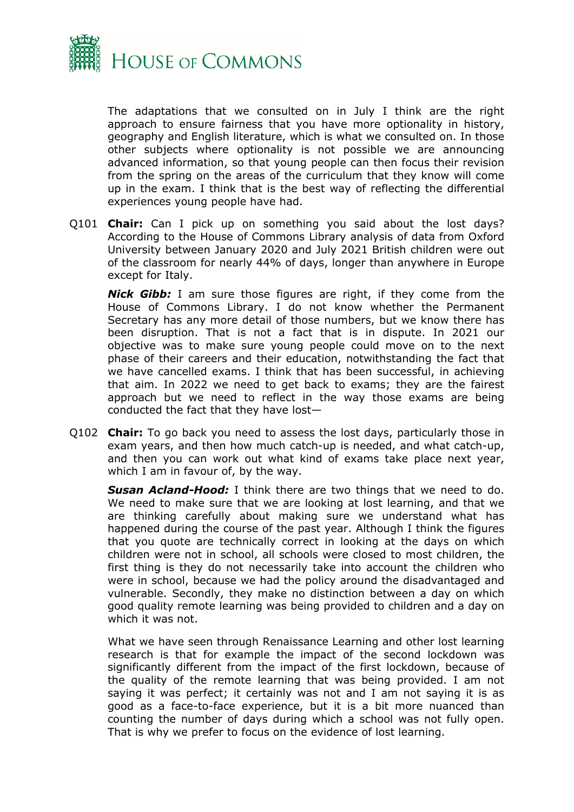

The adaptations that we consulted on in July I think are the right approach to ensure fairness that you have more optionality in history, geography and English literature, which is what we consulted on. In those other subjects where optionality is not possible we are announcing advanced information, so that young people can then focus their revision from the spring on the areas of the curriculum that they know will come up in the exam. I think that is the best way of reflecting the differential experiences young people have had.

Q101 **Chair:** Can I pick up on something you said about the lost days? According to the House of Commons Library analysis of data from Oxford University between January 2020 and July 2021 British children were out of the classroom for nearly 44% of days, longer than anywhere in Europe except for Italy.

*Nick Gibb:* I am sure those figures are right, if they come from the House of Commons Library. I do not know whether the Permanent Secretary has any more detail of those numbers, but we know there has been disruption. That is not a fact that is in dispute. In 2021 our objective was to make sure young people could move on to the next phase of their careers and their education, notwithstanding the fact that we have cancelled exams. I think that has been successful, in achieving that aim. In 2022 we need to get back to exams; they are the fairest approach but we need to reflect in the way those exams are being conducted the fact that they have lost—

Q102 **Chair:** To go back you need to assess the lost days, particularly those in exam years, and then how much catch-up is needed, and what catch-up, and then you can work out what kind of exams take place next year, which I am in favour of, by the way.

*Susan Acland-Hood:* I think there are two things that we need to do. We need to make sure that we are looking at lost learning, and that we are thinking carefully about making sure we understand what has happened during the course of the past year. Although I think the figures that you quote are technically correct in looking at the days on which children were not in school, all schools were closed to most children, the first thing is they do not necessarily take into account the children who were in school, because we had the policy around the disadvantaged and vulnerable. Secondly, they make no distinction between a day on which good quality remote learning was being provided to children and a day on which it was not.

What we have seen through Renaissance Learning and other lost learning research is that for example the impact of the second lockdown was significantly different from the impact of the first lockdown, because of the quality of the remote learning that was being provided. I am not saying it was perfect; it certainly was not and I am not saying it is as good as a face-to-face experience, but it is a bit more nuanced than counting the number of days during which a school was not fully open. That is why we prefer to focus on the evidence of lost learning.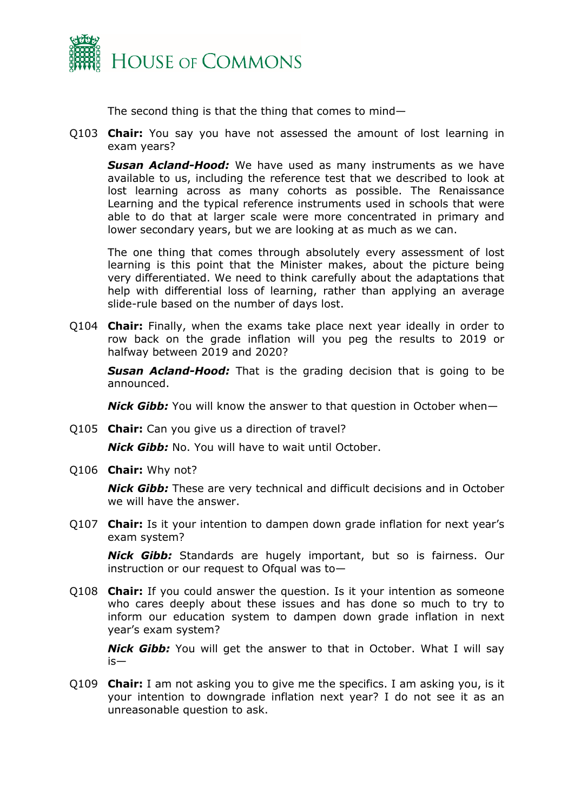

The second thing is that the thing that comes to mind—

Q103 **Chair:** You say you have not assessed the amount of lost learning in exam years?

*Susan Acland-Hood:* We have used as many instruments as we have available to us, including the reference test that we described to look at lost learning across as many cohorts as possible. The Renaissance Learning and the typical reference instruments used in schools that were able to do that at larger scale were more concentrated in primary and lower secondary years, but we are looking at as much as we can.

The one thing that comes through absolutely every assessment of lost learning is this point that the Minister makes, about the picture being very differentiated. We need to think carefully about the adaptations that help with differential loss of learning, rather than applying an average slide-rule based on the number of days lost.

Q104 **Chair:** Finally, when the exams take place next year ideally in order to row back on the grade inflation will you peg the results to 2019 or halfway between 2019 and 2020?

*Susan Acland-Hood:* That is the grading decision that is going to be announced.

*Nick Gibb:* You will know the answer to that question in October when—

Q105 **Chair:** Can you give us a direction of travel?

*Nick Gibb:* No. You will have to wait until October.

Q106 **Chair:** Why not?

*Nick Gibb:* These are very technical and difficult decisions and in October we will have the answer.

Q107 **Chair:** Is it your intention to dampen down grade inflation for next year's exam system?

*Nick Gibb:* Standards are hugely important, but so is fairness. Our instruction or our request to Ofqual was to—

Q108 **Chair:** If you could answer the question. Is it your intention as someone who cares deeply about these issues and has done so much to try to inform our education system to dampen down grade inflation in next year's exam system?

*Nick Gibb:* You will get the answer to that in October. What I will say is—

Q109 **Chair:** I am not asking you to give me the specifics. I am asking you, is it your intention to downgrade inflation next year? I do not see it as an unreasonable question to ask.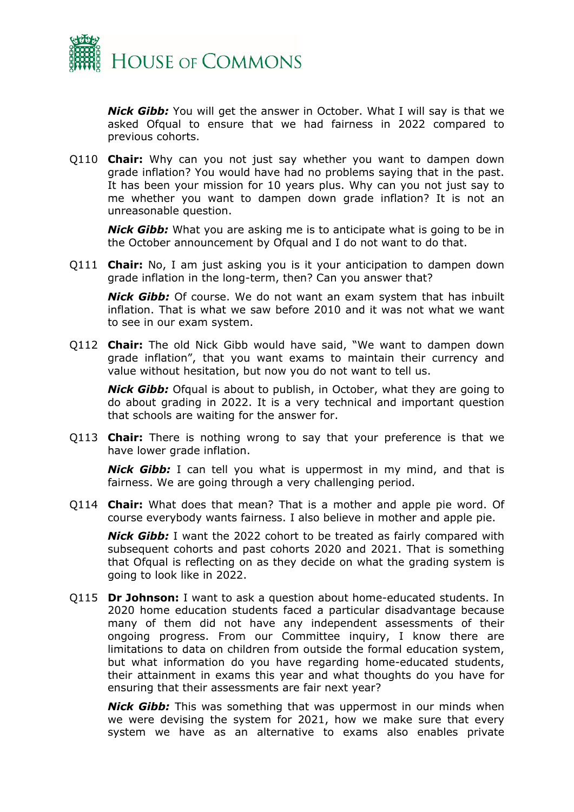

*Nick Gibb:* You will get the answer in October. What I will say is that we asked Ofqual to ensure that we had fairness in 2022 compared to previous cohorts.

Q110 **Chair:** Why can you not just say whether you want to dampen down grade inflation? You would have had no problems saying that in the past. It has been your mission for 10 years plus. Why can you not just say to me whether you want to dampen down grade inflation? It is not an unreasonable question.

*Nick Gibb:* What you are asking me is to anticipate what is going to be in the October announcement by Ofqual and I do not want to do that.

Q111 **Chair:** No, I am just asking you is it your anticipation to dampen down grade inflation in the long-term, then? Can you answer that?

*Nick Gibb:* Of course. We do not want an exam system that has inbuilt inflation. That is what we saw before 2010 and it was not what we want to see in our exam system.

Q112 **Chair:** The old Nick Gibb would have said, "We want to dampen down grade inflation", that you want exams to maintain their currency and value without hesitation, but now you do not want to tell us.

*Nick Gibb:* Ofqual is about to publish, in October, what they are going to do about grading in 2022. It is a very technical and important question that schools are waiting for the answer for.

Q113 **Chair:** There is nothing wrong to say that your preference is that we have lower grade inflation.

*Nick Gibb:* I can tell you what is uppermost in my mind, and that is fairness. We are going through a very challenging period.

Q114 **Chair:** What does that mean? That is a mother and apple pie word. Of course everybody wants fairness. I also believe in mother and apple pie.

*Nick Gibb:* I want the 2022 cohort to be treated as fairly compared with subsequent cohorts and past cohorts 2020 and 2021. That is something that Ofqual is reflecting on as they decide on what the grading system is going to look like in 2022.

Q115 **Dr Johnson:** I want to ask a question about home-educated students. In 2020 home education students faced a particular disadvantage because many of them did not have any independent assessments of their ongoing progress. From our Committee inquiry, I know there are limitations to data on children from outside the formal education system, but what information do you have regarding home-educated students, their attainment in exams this year and what thoughts do you have for ensuring that their assessments are fair next year?

*Nick Gibb:* This was something that was uppermost in our minds when we were devising the system for 2021, how we make sure that every system we have as an alternative to exams also enables private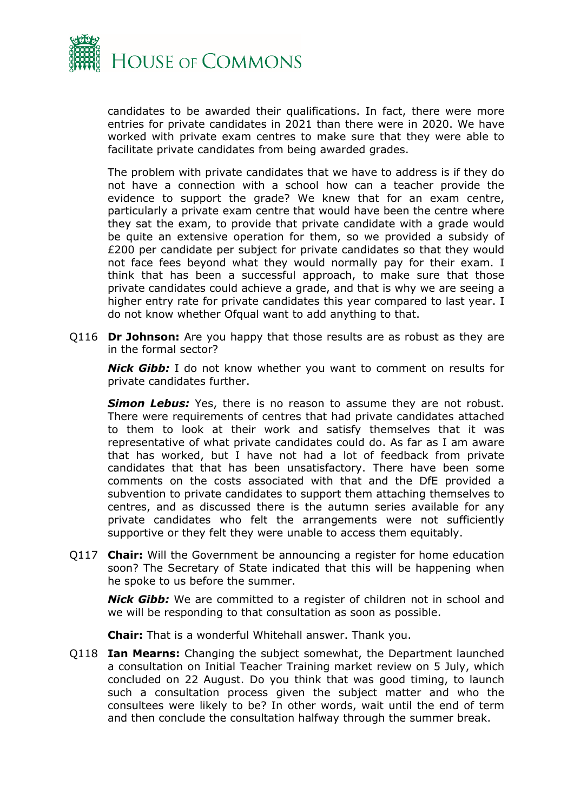

candidates to be awarded their qualifications. In fact, there were more entries for private candidates in 2021 than there were in 2020. We have worked with private exam centres to make sure that they were able to facilitate private candidates from being awarded grades.

The problem with private candidates that we have to address is if they do not have a connection with a school how can a teacher provide the evidence to support the grade? We knew that for an exam centre, particularly a private exam centre that would have been the centre where they sat the exam, to provide that private candidate with a grade would be quite an extensive operation for them, so we provided a subsidy of £200 per candidate per subject for private candidates so that they would not face fees beyond what they would normally pay for their exam. I think that has been a successful approach, to make sure that those private candidates could achieve a grade, and that is why we are seeing a higher entry rate for private candidates this year compared to last year. I do not know whether Ofqual want to add anything to that.

Q116 **Dr Johnson:** Are you happy that those results are as robust as they are in the formal sector?

*Nick Gibb:* I do not know whether you want to comment on results for private candidates further.

**Simon Lebus:** Yes, there is no reason to assume they are not robust. There were requirements of centres that had private candidates attached to them to look at their work and satisfy themselves that it was representative of what private candidates could do. As far as I am aware that has worked, but I have not had a lot of feedback from private candidates that that has been unsatisfactory. There have been some comments on the costs associated with that and the DfE provided a subvention to private candidates to support them attaching themselves to centres, and as discussed there is the autumn series available for any private candidates who felt the arrangements were not sufficiently supportive or they felt they were unable to access them equitably.

Q117 **Chair:** Will the Government be announcing a register for home education soon? The Secretary of State indicated that this will be happening when he spoke to us before the summer.

*Nick Gibb:* We are committed to a register of children not in school and we will be responding to that consultation as soon as possible.

**Chair:** That is a wonderful Whitehall answer. Thank you.

Q118 **Ian Mearns:** Changing the subject somewhat, the Department launched a consultation on Initial Teacher Training market review on 5 July, which concluded on 22 August. Do you think that was good timing, to launch such a consultation process given the subject matter and who the consultees were likely to be? In other words, wait until the end of term and then conclude the consultation halfway through the summer break.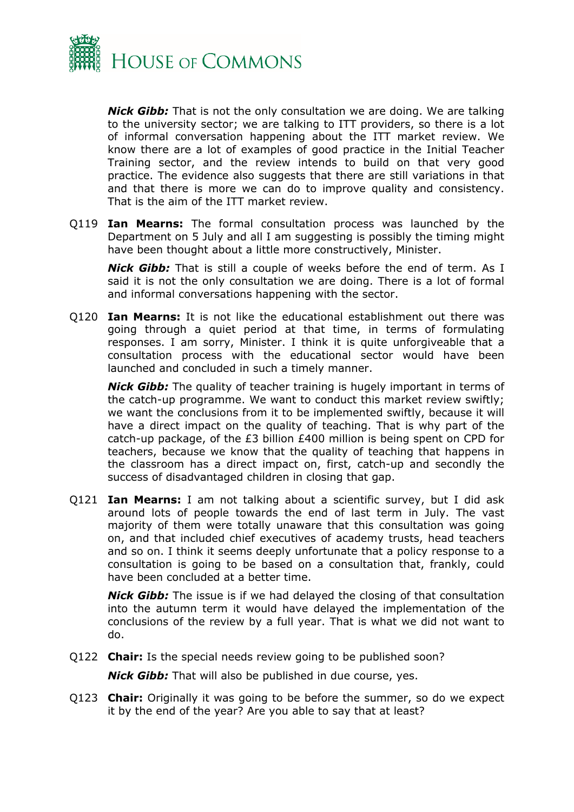

*Nick Gibb:* That is not the only consultation we are doing. We are talking to the university sector; we are talking to ITT providers, so there is a lot of informal conversation happening about the ITT market review. We know there are a lot of examples of good practice in the Initial Teacher Training sector, and the review intends to build on that very good practice. The evidence also suggests that there are still variations in that and that there is more we can do to improve quality and consistency. That is the aim of the ITT market review.

Q119 **Ian Mearns:** The formal consultation process was launched by the Department on 5 July and all I am suggesting is possibly the timing might have been thought about a little more constructively, Minister.

*Nick Gibb:* That is still a couple of weeks before the end of term. As I said it is not the only consultation we are doing. There is a lot of formal and informal conversations happening with the sector.

Q120 **Ian Mearns:** It is not like the educational establishment out there was going through a quiet period at that time, in terms of formulating responses. I am sorry, Minister. I think it is quite unforgiveable that a consultation process with the educational sector would have been launched and concluded in such a timely manner.

*Nick Gibb:* The quality of teacher training is hugely important in terms of the catch-up programme. We want to conduct this market review swiftly; we want the conclusions from it to be implemented swiftly, because it will have a direct impact on the quality of teaching. That is why part of the catch-up package, of the £3 billion £400 million is being spent on CPD for teachers, because we know that the quality of teaching that happens in the classroom has a direct impact on, first, catch-up and secondly the success of disadvantaged children in closing that gap.

Q121 **Ian Mearns:** I am not talking about a scientific survey, but I did ask around lots of people towards the end of last term in July. The vast majority of them were totally unaware that this consultation was going on, and that included chief executives of academy trusts, head teachers and so on. I think it seems deeply unfortunate that a policy response to a consultation is going to be based on a consultation that, frankly, could have been concluded at a better time.

*Nick Gibb:* The issue is if we had delayed the closing of that consultation into the autumn term it would have delayed the implementation of the conclusions of the review by a full year. That is what we did not want to do.

Q122 **Chair:** Is the special needs review going to be published soon?

*Nick Gibb:* That will also be published in due course, yes.

Q123 **Chair:** Originally it was going to be before the summer, so do we expect it by the end of the year? Are you able to say that at least?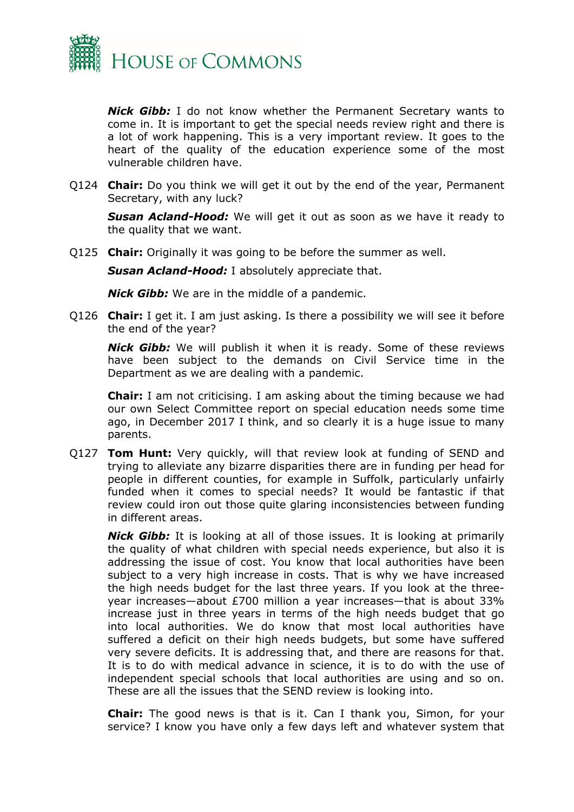

*Nick Gibb:* I do not know whether the Permanent Secretary wants to come in. It is important to get the special needs review right and there is a lot of work happening. This is a very important review. It goes to the heart of the quality of the education experience some of the most vulnerable children have.

Q124 **Chair:** Do you think we will get it out by the end of the year, Permanent Secretary, with any luck?

*Susan Acland-Hood:* We will get it out as soon as we have it ready to the quality that we want.

Q125 **Chair:** Originally it was going to be before the summer as well.

*Susan Acland-Hood:* I absolutely appreciate that.

*Nick Gibb:* We are in the middle of a pandemic.

Q126 **Chair:** I get it. I am just asking. Is there a possibility we will see it before the end of the year?

*Nick Gibb:* We will publish it when it is ready. Some of these reviews have been subject to the demands on Civil Service time in the Department as we are dealing with a pandemic.

**Chair:** I am not criticising. I am asking about the timing because we had our own Select Committee report on special education needs some time ago, in December 2017 I think, and so clearly it is a huge issue to many parents.

Q127 **Tom Hunt:** Very quickly, will that review look at funding of SEND and trying to alleviate any bizarre disparities there are in funding per head for people in different counties, for example in Suffolk, particularly unfairly funded when it comes to special needs? It would be fantastic if that review could iron out those quite glaring inconsistencies between funding in different areas.

*Nick Gibb:* It is looking at all of those issues. It is looking at primarily the quality of what children with special needs experience, but also it is addressing the issue of cost. You know that local authorities have been subject to a very high increase in costs. That is why we have increased the high needs budget for the last three years. If you look at the threeyear increases—about £700 million a year increases—that is about 33% increase just in three years in terms of the high needs budget that go into local authorities. We do know that most local authorities have suffered a deficit on their high needs budgets, but some have suffered very severe deficits. It is addressing that, and there are reasons for that. It is to do with medical advance in science, it is to do with the use of independent special schools that local authorities are using and so on. These are all the issues that the SEND review is looking into.

**Chair:** The good news is that is it. Can I thank you, Simon, for your service? I know you have only a few days left and whatever system that